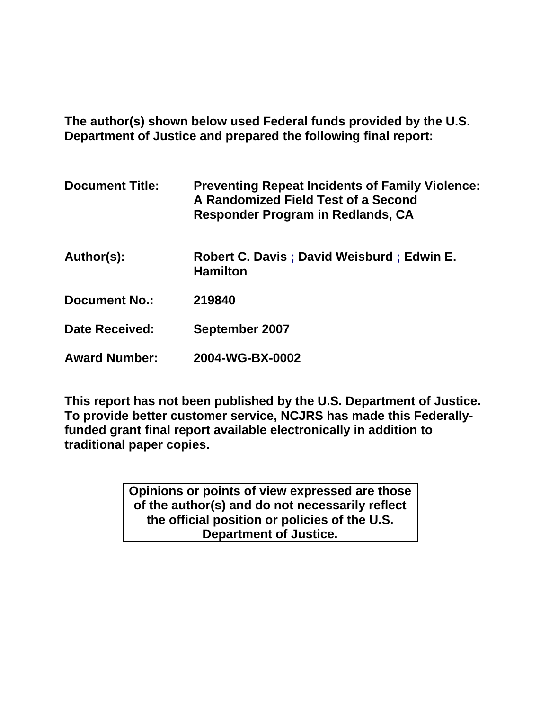**The author(s) shown below used Federal funds provided by the U.S. Department of Justice and prepared the following final report:** 

| <b>Document Title:</b> | <b>Preventing Repeat Incidents of Family Violence:</b><br>A Randomized Field Test of a Second<br><b>Responder Program in Redlands, CA</b> |
|------------------------|-------------------------------------------------------------------------------------------------------------------------------------------|
| Author(s):             | Robert C. Davis; David Weisburd; Edwin E.<br><b>Hamilton</b>                                                                              |
| <b>Document No.:</b>   | 219840                                                                                                                                    |
| <b>Date Received:</b>  | September 2007                                                                                                                            |
| <b>Award Number:</b>   | 2004-WG-BX-0002                                                                                                                           |

**This report has not been published by the U.S. Department of Justice. To provide better customer service, NCJRS has made this Federallyfunded grant final report available electronically in addition to traditional paper copies.** 

> **Opinions or points of view expressed are those of the author(s) and do not necessarily reflect the official position or policies of the U.S. Department of Justice.**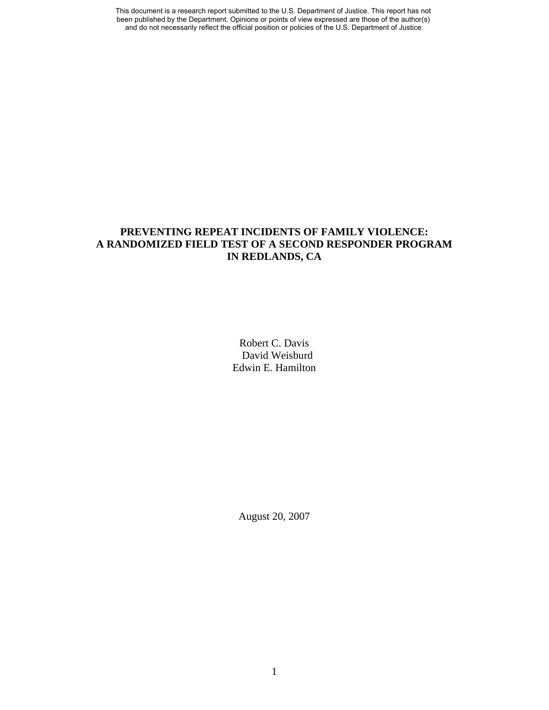# **PREVENTING REPEAT INCIDENTS OF FAMILY VIOLENCE: A RANDOMIZED FIELD TEST OF A SECOND RESPONDER PROGRAM IN REDLANDS, CA**

Robert C. Davis David Weisburd Edwin E. Hamilton

August 20, 2007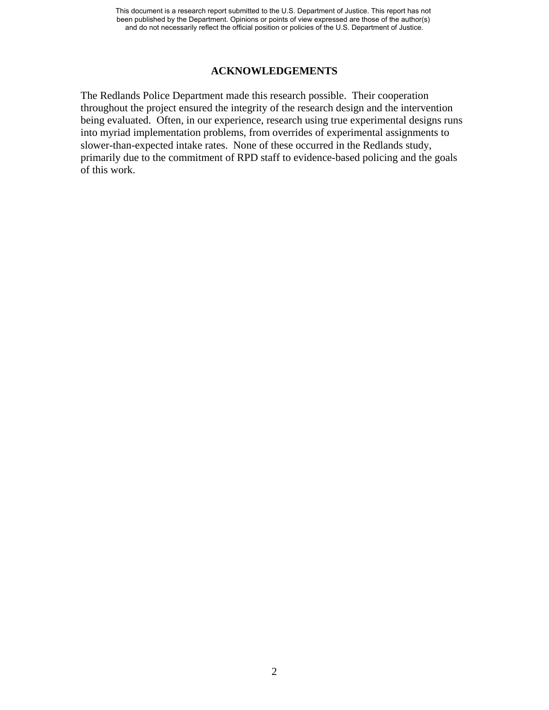# **ACKNOWLEDGEMENTS**

The Redlands Police Department made this research possible. Their cooperation throughout the project ensured the integrity of the research design and the intervention being evaluated. Often, in our experience, research using true experimental designs runs into myriad implementation problems, from overrides of experimental assignments to slower-than-expected intake rates. None of these occurred in the Redlands study, primarily due to the commitment of RPD staff to evidence-based policing and the goals of this work.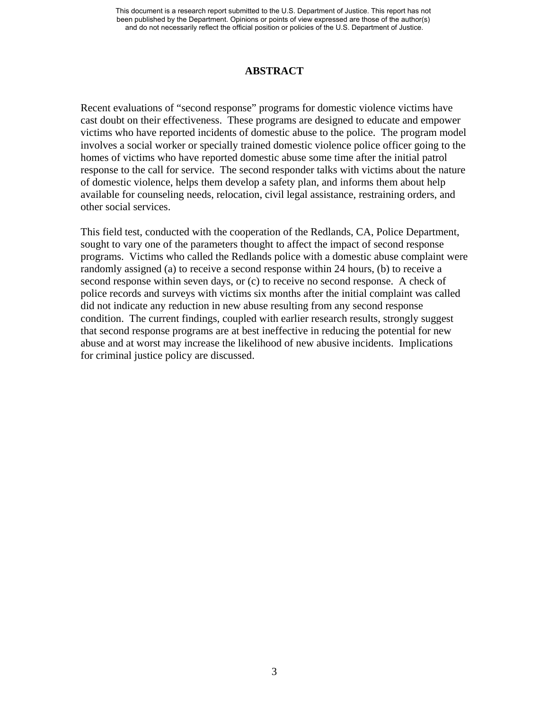# **ABSTRACT**

Recent evaluations of "second response" programs for domestic violence victims have cast doubt on their effectiveness. These programs are designed to educate and empower victims who have reported incidents of domestic abuse to the police. The program model involves a social worker or specially trained domestic violence police officer going to the homes of victims who have reported domestic abuse some time after the initial patrol response to the call for service. The second responder talks with victims about the nature of domestic violence, helps them develop a safety plan, and informs them about help available for counseling needs, relocation, civil legal assistance, restraining orders, and other social services.

This field test, conducted with the cooperation of the Redlands, CA, Police Department, sought to vary one of the parameters thought to affect the impact of second response programs. Victims who called the Redlands police with a domestic abuse complaint were randomly assigned (a) to receive a second response within 24 hours, (b) to receive a second response within seven days, or (c) to receive no second response. A check of police records and surveys with victims six months after the initial complaint was called did not indicate any reduction in new abuse resulting from any second response condition. The current findings, coupled with earlier research results, strongly suggest that second response programs are at best ineffective in reducing the potential for new abuse and at worst may increase the likelihood of new abusive incidents. Implications for criminal justice policy are discussed.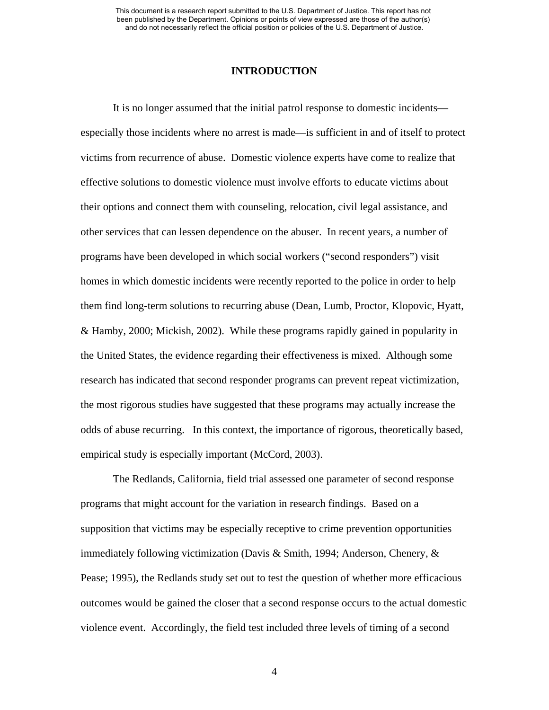## **INTRODUCTION**

It is no longer assumed that the initial patrol response to domestic incidents especially those incidents where no arrest is made—is sufficient in and of itself to protect victims from recurrence of abuse. Domestic violence experts have come to realize that effective solutions to domestic violence must involve efforts to educate victims about their options and connect them with counseling, relocation, civil legal assistance, and other services that can lessen dependence on the abuser. In recent years, a number of programs have been developed in which social workers ("second responders") visit homes in which domestic incidents were recently reported to the police in order to help them find long-term solutions to recurring abuse (Dean, Lumb, Proctor, Klopovic, Hyatt, & Hamby, 2000; Mickish, 2002). While these programs rapidly gained in popularity in the United States, the evidence regarding their effectiveness is mixed. Although some research has indicated that second responder programs can prevent repeat victimization, the most rigorous studies have suggested that these programs may actually increase the odds of abuse recurring. In this context, the importance of rigorous, theoretically based, empirical study is especially important (McCord, 2003).

The Redlands, California, field trial assessed one parameter of second response programs that might account for the variation in research findings. Based on a supposition that victims may be especially receptive to crime prevention opportunities immediately following victimization (Davis & Smith, 1994; Anderson, Chenery,  $\&$ Pease; 1995), the Redlands study set out to test the question of whether more efficacious outcomes would be gained the closer that a second response occurs to the actual domestic violence event. Accordingly, the field test included three levels of timing of a second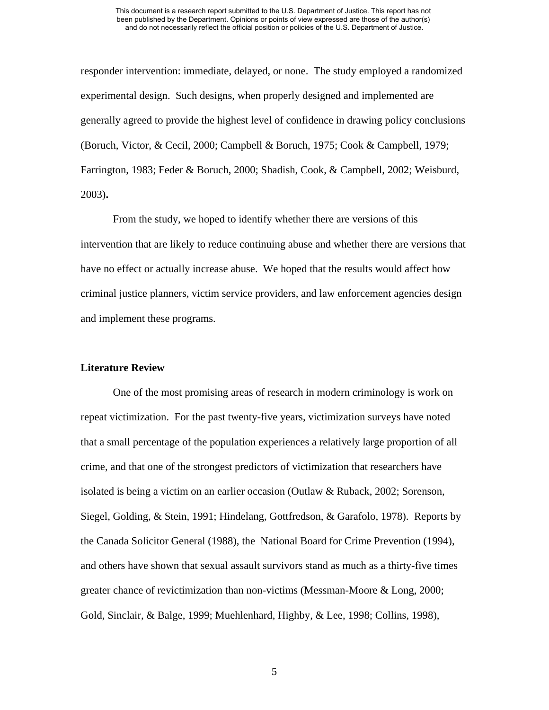responder intervention: immediate, delayed, or none. The study employed a randomized experimental design. Such designs, when properly designed and implemented are generally agreed to provide the highest level of confidence in drawing policy conclusions (Boruch, Victor, & Cecil, 2000; Campbell & Boruch, 1975; Cook & Campbell, 1979; Farrington, 1983; Feder & Boruch, 2000; Shadish, Cook, & Campbell, 2002; Weisburd, 2003)**.** 

From the study, we hoped to identify whether there are versions of this intervention that are likely to reduce continuing abuse and whether there are versions that have no effect or actually increase abuse. We hoped that the results would affect how criminal justice planners, victim service providers, and law enforcement agencies design and implement these programs.

### **Literature Review**

One of the most promising areas of research in modern criminology is work on repeat victimization. For the past twenty-five years, victimization surveys have noted that a small percentage of the population experiences a relatively large proportion of all crime, and that one of the strongest predictors of victimization that researchers have isolated is being a victim on an earlier occasion (Outlaw & Ruback, 2002; Sorenson, Siegel, Golding, & Stein, 1991; Hindelang, Gottfredson, & Garafolo, 1978). Reports by the Canada Solicitor General (1988), the National Board for Crime Prevention (1994), and others have shown that sexual assault survivors stand as much as a thirty-five times greater chance of revictimization than non-victims (Messman-Moore & Long, 2000; Gold, Sinclair, & Balge, 1999; Muehlenhard, Highby, & Lee, 1998; Collins, 1998),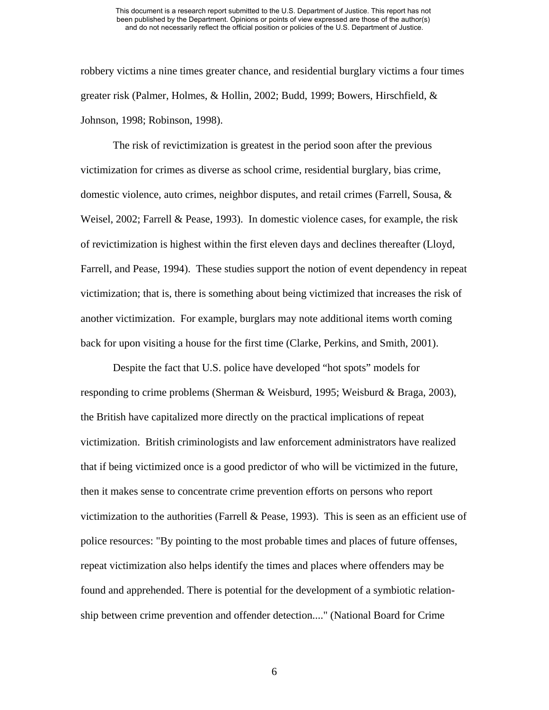robbery victims a nine times greater chance, and residential burglary victims a four times greater risk (Palmer, Holmes, & Hollin, 2002; Budd, 1999; Bowers, Hirschfield, & Johnson, 1998; Robinson, 1998).

The risk of revictimization is greatest in the period soon after the previous victimization for crimes as diverse as school crime, residential burglary, bias crime, domestic violence, auto crimes, neighbor disputes, and retail crimes (Farrell, Sousa,  $\&$ Weisel, 2002; Farrell & Pease, 1993). In domestic violence cases, for example, the risk of revictimization is highest within the first eleven days and declines thereafter (Lloyd, Farrell, and Pease, 1994). These studies support the notion of event dependency in repeat victimization; that is, there is something about being victimized that increases the risk of another victimization. For example, burglars may note additional items worth coming back for upon visiting a house for the first time (Clarke, Perkins, and Smith, 2001).

Despite the fact that U.S. police have developed "hot spots" models for responding to crime problems (Sherman & Weisburd, 1995; Weisburd & Braga, 2003), the British have capitalized more directly on the practical implications of repeat victimization. British criminologists and law enforcement administrators have realized that if being victimized once is a good predictor of who will be victimized in the future, then it makes sense to concentrate crime prevention efforts on persons who report victimization to the authorities (Farrell & Pease, 1993). This is seen as an efficient use of police resources: "By pointing to the most probable times and places of future offenses, repeat victimization also helps identify the times and places where offenders may be found and apprehended. There is potential for the development of a symbiotic relationship between crime prevention and offender detection...." (National Board for Crime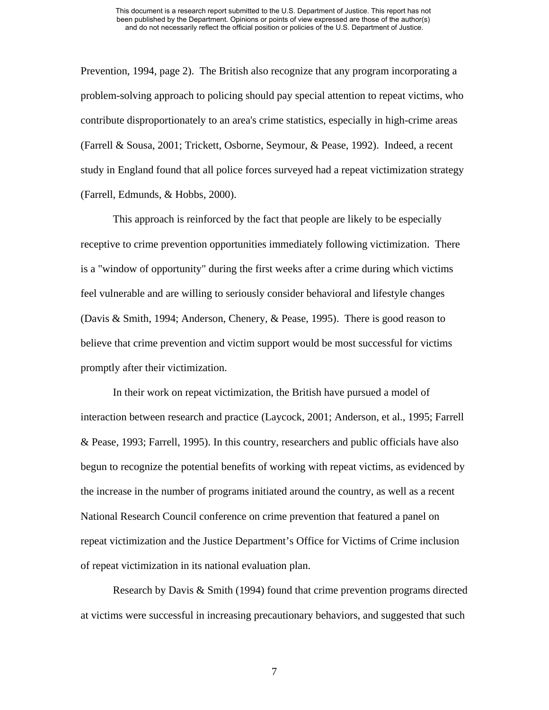Prevention, 1994, page 2). The British also recognize that any program incorporating a problem-solving approach to policing should pay special attention to repeat victims, who contribute disproportionately to an area's crime statistics, especially in high-crime areas (Farrell & Sousa, 2001; Trickett, Osborne, Seymour, & Pease, 1992). Indeed, a recent study in England found that all police forces surveyed had a repeat victimization strategy (Farrell, Edmunds, & Hobbs, 2000).

This approach is reinforced by the fact that people are likely to be especially receptive to crime prevention opportunities immediately following victimization. There is a "window of opportunity" during the first weeks after a crime during which victims feel vulnerable and are willing to seriously consider behavioral and lifestyle changes (Davis & Smith, 1994; Anderson, Chenery, & Pease, 1995). There is good reason to believe that crime prevention and victim support would be most successful for victims promptly after their victimization.

In their work on repeat victimization, the British have pursued a model of interaction between research and practice (Laycock, 2001; Anderson, et al., 1995; Farrell & Pease, 1993; Farrell, 1995). In this country, researchers and public officials have also begun to recognize the potential benefits of working with repeat victims, as evidenced by the increase in the number of programs initiated around the country, as well as a recent National Research Council conference on crime prevention that featured a panel on repeat victimization and the Justice Department's Office for Victims of Crime inclusion of repeat victimization in its national evaluation plan.

Research by Davis & Smith (1994) found that crime prevention programs directed at victims were successful in increasing precautionary behaviors, and suggested that such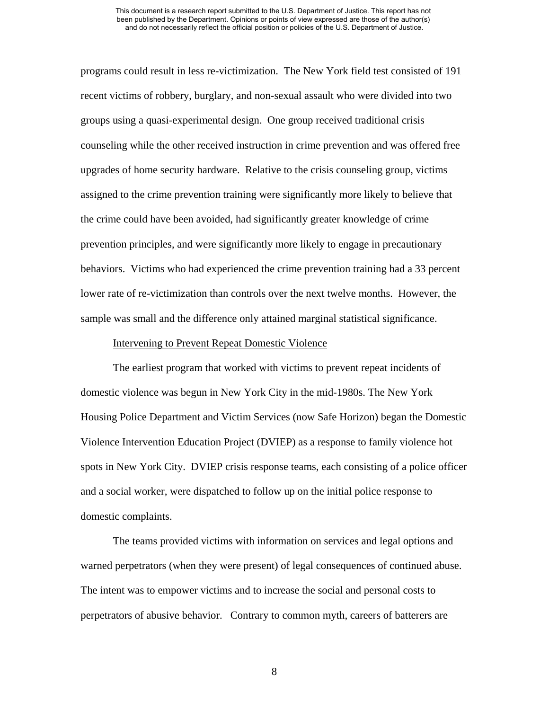programs could result in less re-victimization. The New York field test consisted of 191 recent victims of robbery, burglary, and non-sexual assault who were divided into two groups using a quasi-experimental design. One group received traditional crisis counseling while the other received instruction in crime prevention and was offered free upgrades of home security hardware. Relative to the crisis counseling group, victims assigned to the crime prevention training were significantly more likely to believe that the crime could have been avoided, had significantly greater knowledge of crime prevention principles, and were significantly more likely to engage in precautionary behaviors. Victims who had experienced the crime prevention training had a 33 percent lower rate of re-victimization than controls over the next twelve months. However, the sample was small and the difference only attained marginal statistical significance.

#### Intervening to Prevent Repeat Domestic Violence

The earliest program that worked with victims to prevent repeat incidents of domestic violence was begun in New York City in the mid-1980s. The New York Housing Police Department and Victim Services (now Safe Horizon) began the Domestic Violence Intervention Education Project (DVIEP) as a response to family violence hot spots in New York City. DVIEP crisis response teams, each consisting of a police officer and a social worker, were dispatched to follow up on the initial police response to domestic complaints.

The teams provided victims with information on services and legal options and warned perpetrators (when they were present) of legal consequences of continued abuse. The intent was to empower victims and to increase the social and personal costs to perpetrators of abusive behavior. Contrary to common myth, careers of batterers are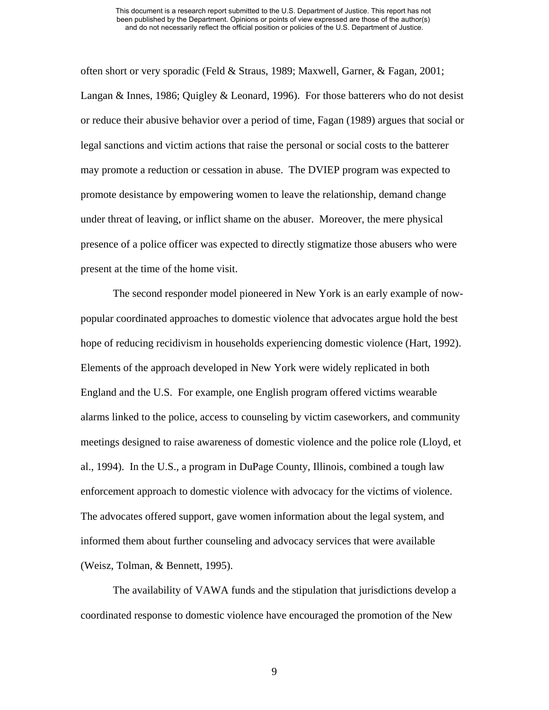often short or very sporadic (Feld & Straus, 1989; Maxwell, Garner, & Fagan, 2001; Langan & Innes, 1986; Quigley & Leonard, 1996). For those batterers who do not desist or reduce their abusive behavior over a period of time, Fagan (1989) argues that social or legal sanctions and victim actions that raise the personal or social costs to the batterer may promote a reduction or cessation in abuse. The DVIEP program was expected to promote desistance by empowering women to leave the relationship, demand change under threat of leaving, or inflict shame on the abuser. Moreover, the mere physical presence of a police officer was expected to directly stigmatize those abusers who were present at the time of the home visit.

The second responder model pioneered in New York is an early example of nowpopular coordinated approaches to domestic violence that advocates argue hold the best hope of reducing recidivism in households experiencing domestic violence (Hart, 1992). Elements of the approach developed in New York were widely replicated in both England and the U.S. For example, one English program offered victims wearable alarms linked to the police, access to counseling by victim caseworkers, and community meetings designed to raise awareness of domestic violence and the police role (Lloyd, et al., 1994). In the U.S., a program in DuPage County, Illinois, combined a tough law enforcement approach to domestic violence with advocacy for the victims of violence. The advocates offered support, gave women information about the legal system, and informed them about further counseling and advocacy services that were available (Weisz, Tolman, & Bennett, 1995).

The availability of VAWA funds and the stipulation that jurisdictions develop a coordinated response to domestic violence have encouraged the promotion of the New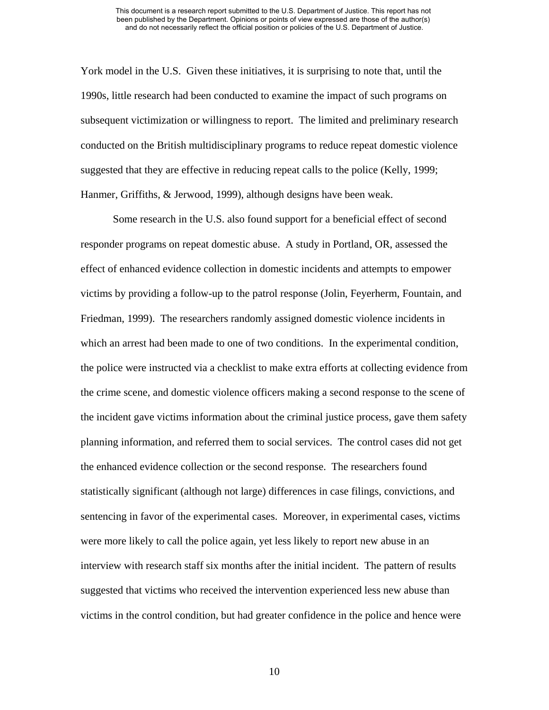York model in the U.S. Given these initiatives, it is surprising to note that, until the 1990s, little research had been conducted to examine the impact of such programs on subsequent victimization or willingness to report. The limited and preliminary research conducted on the British multidisciplinary programs to reduce repeat domestic violence suggested that they are effective in reducing repeat calls to the police (Kelly, 1999; Hanmer, Griffiths, & Jerwood, 1999), although designs have been weak.

Some research in the U.S. also found support for a beneficial effect of second responder programs on repeat domestic abuse. A study in Portland, OR, assessed the effect of enhanced evidence collection in domestic incidents and attempts to empower victims by providing a follow-up to the patrol response (Jolin, Feyerherm, Fountain, and Friedman, 1999). The researchers randomly assigned domestic violence incidents in which an arrest had been made to one of two conditions. In the experimental condition, the police were instructed via a checklist to make extra efforts at collecting evidence from the crime scene, and domestic violence officers making a second response to the scene of the incident gave victims information about the criminal justice process, gave them safety planning information, and referred them to social services. The control cases did not get the enhanced evidence collection or the second response. The researchers found statistically significant (although not large) differences in case filings, convictions, and sentencing in favor of the experimental cases. Moreover, in experimental cases, victims were more likely to call the police again, yet less likely to report new abuse in an interview with research staff six months after the initial incident. The pattern of results suggested that victims who received the intervention experienced less new abuse than victims in the control condition, but had greater confidence in the police and hence were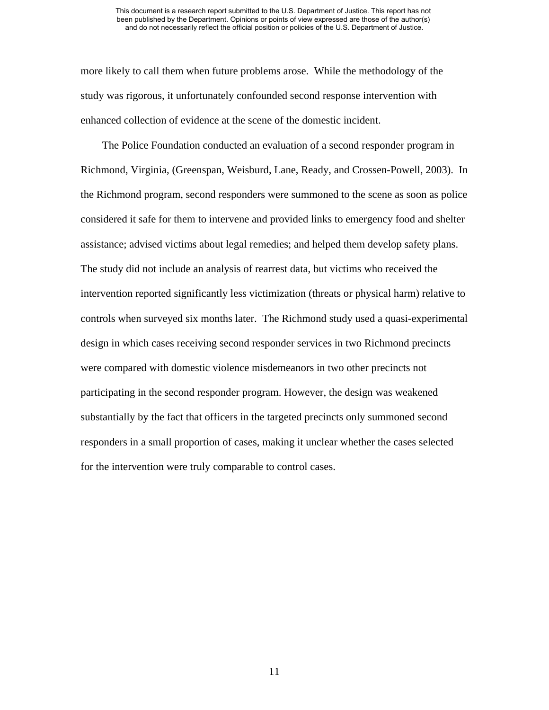more likely to call them when future problems arose. While the methodology of the study was rigorous, it unfortunately confounded second response intervention with enhanced collection of evidence at the scene of the domestic incident.

 The Police Foundation conducted an evaluation of a second responder program in Richmond, Virginia, (Greenspan, Weisburd, Lane, Ready, and Crossen-Powell, 2003). In the Richmond program, second responders were summoned to the scene as soon as police considered it safe for them to intervene and provided links to emergency food and shelter assistance; advised victims about legal remedies; and helped them develop safety plans. The study did not include an analysis of rearrest data, but victims who received the intervention reported significantly less victimization (threats or physical harm) relative to controls when surveyed six months later. The Richmond study used a quasi-experimental design in which cases receiving second responder services in two Richmond precincts were compared with domestic violence misdemeanors in two other precincts not participating in the second responder program. However, the design was weakened substantially by the fact that officers in the targeted precincts only summoned second responders in a small proportion of cases, making it unclear whether the cases selected for the intervention were truly comparable to control cases.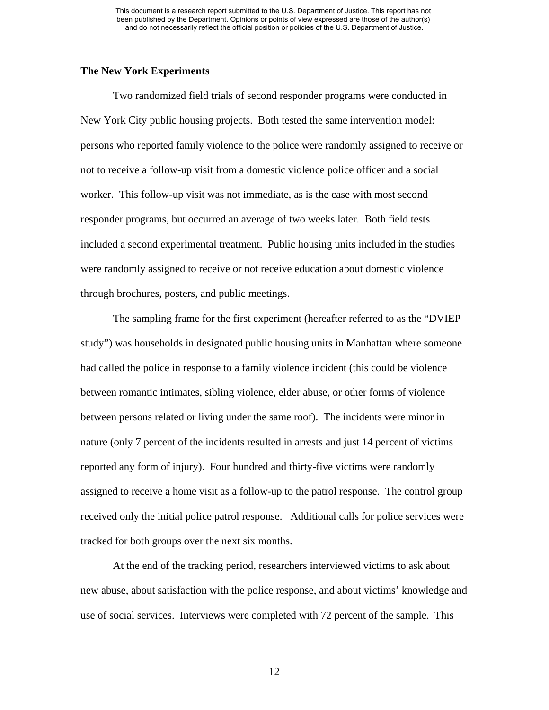## **The New York Experiments**

Two randomized field trials of second responder programs were conducted in New York City public housing projects. Both tested the same intervention model: persons who reported family violence to the police were randomly assigned to receive or not to receive a follow-up visit from a domestic violence police officer and a social worker. This follow-up visit was not immediate, as is the case with most second responder programs, but occurred an average of two weeks later. Both field tests included a second experimental treatment. Public housing units included in the studies were randomly assigned to receive or not receive education about domestic violence through brochures, posters, and public meetings.

The sampling frame for the first experiment (hereafter referred to as the "DVIEP study") was households in designated public housing units in Manhattan where someone had called the police in response to a family violence incident (this could be violence between romantic intimates, sibling violence, elder abuse, or other forms of violence between persons related or living under the same roof). The incidents were minor in nature (only 7 percent of the incidents resulted in arrests and just 14 percent of victims reported any form of injury). Four hundred and thirty-five victims were randomly assigned to receive a home visit as a follow-up to the patrol response. The control group received only the initial police patrol response. Additional calls for police services were tracked for both groups over the next six months.

At the end of the tracking period, researchers interviewed victims to ask about new abuse, about satisfaction with the police response, and about victims' knowledge and use of social services. Interviews were completed with 72 percent of the sample. This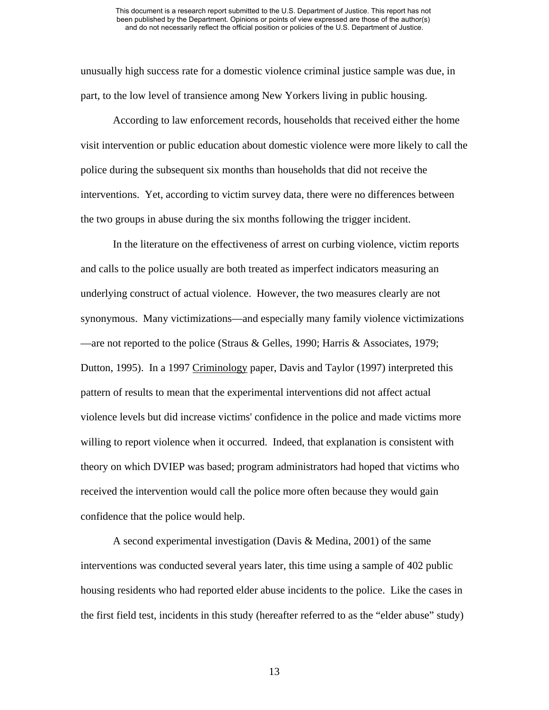unusually high success rate for a domestic violence criminal justice sample was due, in part, to the low level of transience among New Yorkers living in public housing.

According to law enforcement records, households that received either the home visit intervention or public education about domestic violence were more likely to call the police during the subsequent six months than households that did not receive the interventions. Yet, according to victim survey data, there were no differences between the two groups in abuse during the six months following the trigger incident.

In the literature on the effectiveness of arrest on curbing violence, victim reports and calls to the police usually are both treated as imperfect indicators measuring an underlying construct of actual violence. However, the two measures clearly are not synonymous. Many victimizations—and especially many family violence victimizations —are not reported to the police (Straus & Gelles, 1990; Harris & Associates, 1979; Dutton, 1995). In a 1997 Criminology paper, Davis and Taylor (1997) interpreted this pattern of results to mean that the experimental interventions did not affect actual violence levels but did increase victims' confidence in the police and made victims more willing to report violence when it occurred. Indeed, that explanation is consistent with theory on which DVIEP was based; program administrators had hoped that victims who received the intervention would call the police more often because they would gain confidence that the police would help.

A second experimental investigation (Davis & Medina, 2001) of the same interventions was conducted several years later, this time using a sample of 402 public housing residents who had reported elder abuse incidents to the police. Like the cases in the first field test, incidents in this study (hereafter referred to as the "elder abuse" study)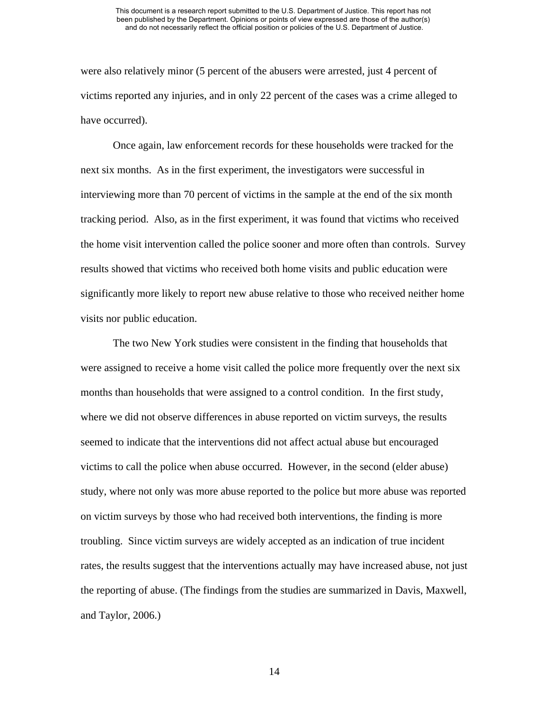were also relatively minor (5 percent of the abusers were arrested, just 4 percent of victims reported any injuries, and in only 22 percent of the cases was a crime alleged to have occurred).

Once again, law enforcement records for these households were tracked for the next six months. As in the first experiment, the investigators were successful in interviewing more than 70 percent of victims in the sample at the end of the six month tracking period. Also, as in the first experiment, it was found that victims who received the home visit intervention called the police sooner and more often than controls. Survey results showed that victims who received both home visits and public education were significantly more likely to report new abuse relative to those who received neither home visits nor public education.

The two New York studies were consistent in the finding that households that were assigned to receive a home visit called the police more frequently over the next six months than households that were assigned to a control condition. In the first study, where we did not observe differences in abuse reported on victim surveys, the results seemed to indicate that the interventions did not affect actual abuse but encouraged victims to call the police when abuse occurred. However, in the second (elder abuse) study, where not only was more abuse reported to the police but more abuse was reported on victim surveys by those who had received both interventions, the finding is more troubling. Since victim surveys are widely accepted as an indication of true incident rates, the results suggest that the interventions actually may have increased abuse, not just the reporting of abuse. (The findings from the studies are summarized in Davis, Maxwell, and Taylor, 2006.)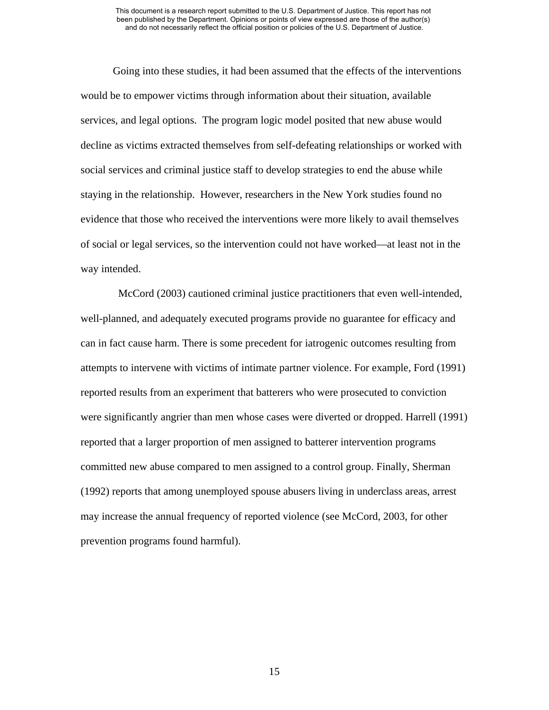Going into these studies, it had been assumed that the effects of the interventions would be to empower victims through information about their situation, available services, and legal options. The program logic model posited that new abuse would decline as victims extracted themselves from self-defeating relationships or worked with social services and criminal justice staff to develop strategies to end the abuse while staying in the relationship. However, researchers in the New York studies found no evidence that those who received the interventions were more likely to avail themselves of social or legal services, so the intervention could not have worked—at least not in the way intended.

 McCord (2003) cautioned criminal justice practitioners that even well-intended, well-planned, and adequately executed programs provide no guarantee for efficacy and can in fact cause harm. There is some precedent for iatrogenic outcomes resulting from attempts to intervene with victims of intimate partner violence. For example, Ford (1991) reported results from an experiment that batterers who were prosecuted to conviction were significantly angrier than men whose cases were diverted or dropped. Harrell (1991) reported that a larger proportion of men assigned to batterer intervention programs committed new abuse compared to men assigned to a control group. Finally, Sherman (1992) reports that among unemployed spouse abusers living in underclass areas, arrest may increase the annual frequency of reported violence (see McCord, 2003, for other prevention programs found harmful).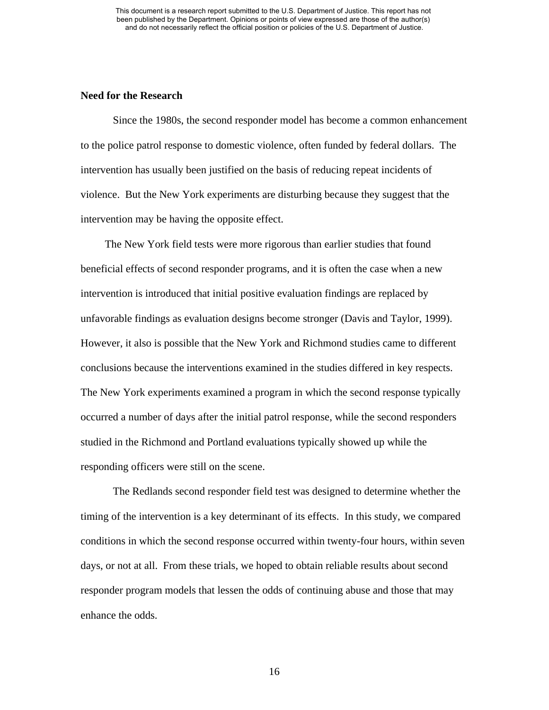## **Need for the Research**

Since the 1980s, the second responder model has become a common enhancement to the police patrol response to domestic violence, often funded by federal dollars. The intervention has usually been justified on the basis of reducing repeat incidents of violence. But the New York experiments are disturbing because they suggest that the intervention may be having the opposite effect.

 The New York field tests were more rigorous than earlier studies that found beneficial effects of second responder programs, and it is often the case when a new intervention is introduced that initial positive evaluation findings are replaced by unfavorable findings as evaluation designs become stronger (Davis and Taylor, 1999). However, it also is possible that the New York and Richmond studies came to different conclusions because the interventions examined in the studies differed in key respects. The New York experiments examined a program in which the second response typically occurred a number of days after the initial patrol response, while the second responders studied in the Richmond and Portland evaluations typically showed up while the responding officers were still on the scene.

The Redlands second responder field test was designed to determine whether the timing of the intervention is a key determinant of its effects. In this study, we compared conditions in which the second response occurred within twenty-four hours, within seven days, or not at all. From these trials, we hoped to obtain reliable results about second responder program models that lessen the odds of continuing abuse and those that may enhance the odds.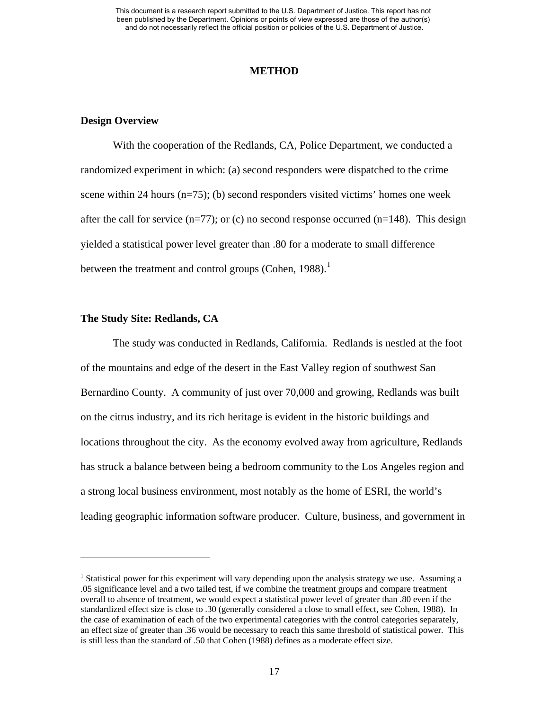## **METHOD**

### **Design Overview**

With the cooperation of the Redlands, CA, Police Department, we conducted a randomized experiment in which: (a) second responders were dispatched to the crime scene within 24 hours (n=75); (b) second responders visited victims' homes one week after the call for service  $(n=77)$ ; or (c) no second response occurred  $(n=148)$ . This design yielded a statistical power level greater than .80 for a moderate to small difference between the treatment and control groups (Cohen, [1](#page-17-0)988).<sup>1</sup>

## **The Study Site: Redlands, CA**

The study was conducted in Redlands, California. Redlands is nestled at the foot of the mountains and edge of the desert in the East Valley region of southwest San Bernardino County. A community of just over 70,000 and growing, Redlands was built on the citrus industry, and its rich heritage is evident in the historic buildings and locations throughout the city. As the economy evolved away from agriculture, Redlands has struck a balance between being a bedroom community to the Los Angeles region and a strong local business environment, most notably as the home of ESRI, the world's leading geographic information software producer. Culture, business, and government in

<span id="page-17-0"></span><sup>&</sup>lt;sup>1</sup> Statistical power for this experiment will vary depending upon the analysis strategy we use. Assuming a .05 significance level and a two tailed test, if we combine the treatment groups and compare treatment overall to absence of treatment, we would expect a statistical power level of greater than .80 even if the standardized effect size is close to .30 (generally considered a close to small effect, see Cohen, 1988). In the case of examination of each of the two experimental categories with the control categories separately, an effect size of greater than .36 would be necessary to reach this same threshold of statistical power. This is still less than the standard of .50 that Cohen (1988) defines as a moderate effect size.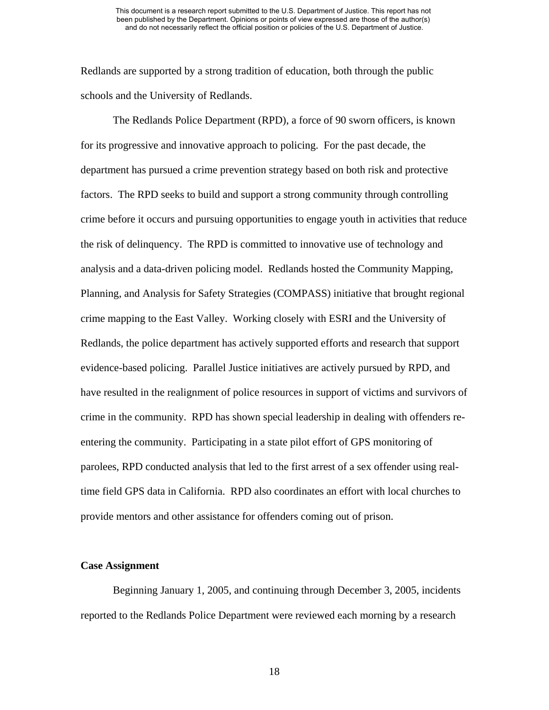Redlands are supported by a strong tradition of education, both through the public schools and the University of Redlands.

The Redlands Police Department (RPD), a force of 90 sworn officers, is known for its progressive and innovative approach to policing. For the past decade, the department has pursued a crime prevention strategy based on both risk and protective factors. The RPD seeks to build and support a strong community through controlling crime before it occurs and pursuing opportunities to engage youth in activities that reduce the risk of delinquency. The RPD is committed to innovative use of technology and analysis and a data-driven policing model. Redlands hosted the Community Mapping, Planning, and Analysis for Safety Strategies (COMPASS) initiative that brought regional crime mapping to the East Valley. Working closely with ESRI and the University of Redlands, the police department has actively supported efforts and research that support evidence-based policing. Parallel Justice initiatives are actively pursued by RPD, and have resulted in the realignment of police resources in support of victims and survivors of crime in the community. RPD has shown special leadership in dealing with offenders reentering the community. Participating in a state pilot effort of GPS monitoring of parolees, RPD conducted analysis that led to the first arrest of a sex offender using realtime field GPS data in California. RPD also coordinates an effort with local churches to provide mentors and other assistance for offenders coming out of prison.

#### **Case Assignment**

Beginning January 1, 2005, and continuing through December 3, 2005, incidents reported to the Redlands Police Department were reviewed each morning by a research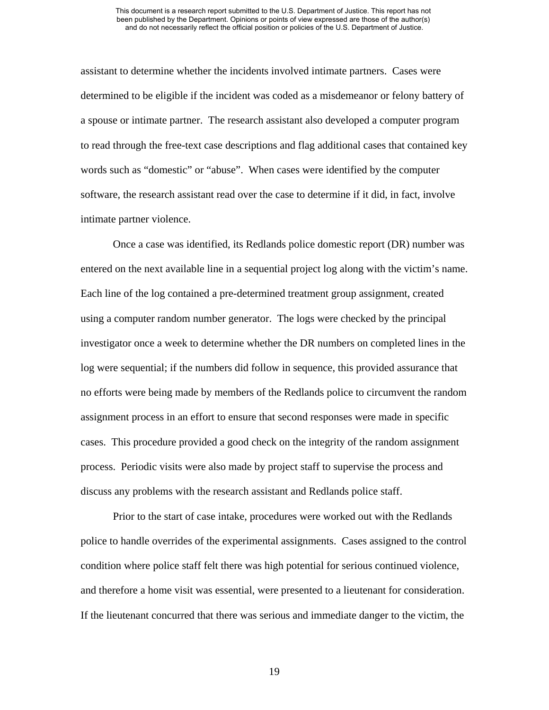assistant to determine whether the incidents involved intimate partners. Cases were determined to be eligible if the incident was coded as a misdemeanor or felony battery of a spouse or intimate partner. The research assistant also developed a computer program to read through the free-text case descriptions and flag additional cases that contained key words such as "domestic" or "abuse". When cases were identified by the computer software, the research assistant read over the case to determine if it did, in fact, involve intimate partner violence.

Once a case was identified, its Redlands police domestic report (DR) number was entered on the next available line in a sequential project log along with the victim's name. Each line of the log contained a pre-determined treatment group assignment, created using a computer random number generator. The logs were checked by the principal investigator once a week to determine whether the DR numbers on completed lines in the log were sequential; if the numbers did follow in sequence, this provided assurance that no efforts were being made by members of the Redlands police to circumvent the random assignment process in an effort to ensure that second responses were made in specific cases. This procedure provided a good check on the integrity of the random assignment process. Periodic visits were also made by project staff to supervise the process and discuss any problems with the research assistant and Redlands police staff.

Prior to the start of case intake, procedures were worked out with the Redlands police to handle overrides of the experimental assignments. Cases assigned to the control condition where police staff felt there was high potential for serious continued violence, and therefore a home visit was essential, were presented to a lieutenant for consideration. If the lieutenant concurred that there was serious and immediate danger to the victim, the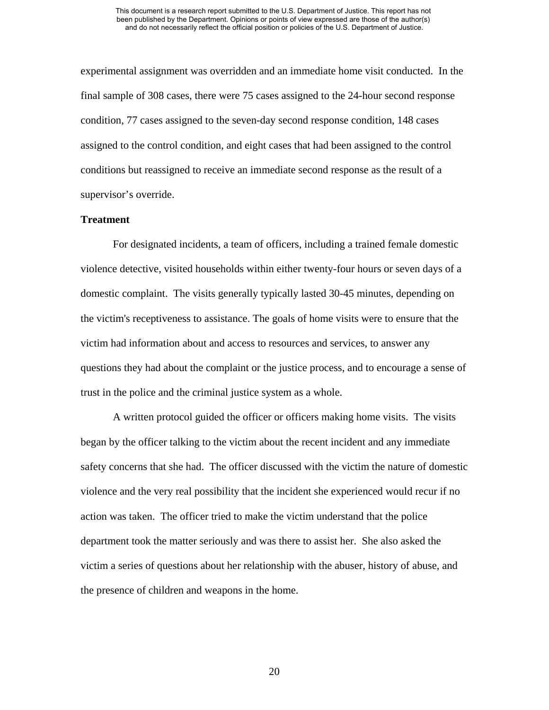experimental assignment was overridden and an immediate home visit conducted. In the final sample of 308 cases, there were 75 cases assigned to the 24-hour second response condition, 77 cases assigned to the seven-day second response condition, 148 cases assigned to the control condition, and eight cases that had been assigned to the control conditions but reassigned to receive an immediate second response as the result of a supervisor's override.

## **Treatment**

For designated incidents, a team of officers, including a trained female domestic violence detective, visited households within either twenty-four hours or seven days of a domestic complaint. The visits generally typically lasted 30-45 minutes, depending on the victim's receptiveness to assistance. The goals of home visits were to ensure that the victim had information about and access to resources and services, to answer any questions they had about the complaint or the justice process, and to encourage a sense of trust in the police and the criminal justice system as a whole.

A written protocol guided the officer or officers making home visits. The visits began by the officer talking to the victim about the recent incident and any immediate safety concerns that she had. The officer discussed with the victim the nature of domestic violence and the very real possibility that the incident she experienced would recur if no action was taken. The officer tried to make the victim understand that the police department took the matter seriously and was there to assist her. She also asked the victim a series of questions about her relationship with the abuser, history of abuse, and the presence of children and weapons in the home.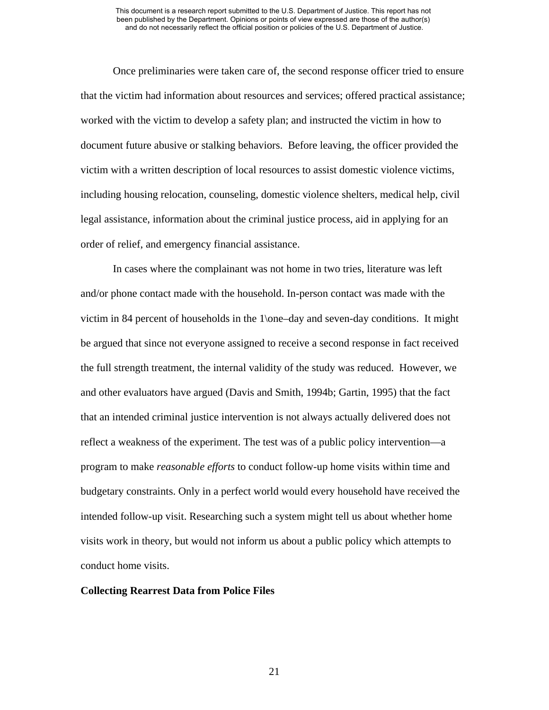Once preliminaries were taken care of, the second response officer tried to ensure that the victim had information about resources and services; offered practical assistance; worked with the victim to develop a safety plan; and instructed the victim in how to document future abusive or stalking behaviors. Before leaving, the officer provided the victim with a written description of local resources to assist domestic violence victims, including housing relocation, counseling, domestic violence shelters, medical help, civil legal assistance, information about the criminal justice process, aid in applying for an order of relief, and emergency financial assistance.

In cases where the complainant was not home in two tries, literature was left and/or phone contact made with the household. In-person contact was made with the victim in 84 percent of households in the 1\one–day and seven-day conditions. It might be argued that since not everyone assigned to receive a second response in fact received the full strength treatment, the internal validity of the study was reduced. However, we and other evaluators have argued (Davis and Smith, 1994b; Gartin, 1995) that the fact that an intended criminal justice intervention is not always actually delivered does not reflect a weakness of the experiment. The test was of a public policy intervention—a program to make *reasonable efforts* to conduct follow-up home visits within time and budgetary constraints. Only in a perfect world would every household have received the intended follow-up visit. Researching such a system might tell us about whether home visits work in theory, but would not inform us about a public policy which attempts to conduct home visits.

### **Collecting Rearrest Data from Police Files**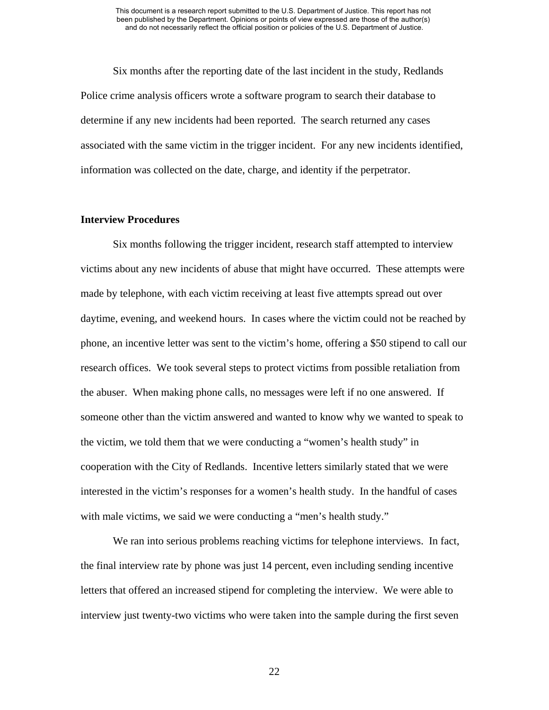Six months after the reporting date of the last incident in the study, Redlands Police crime analysis officers wrote a software program to search their database to determine if any new incidents had been reported. The search returned any cases associated with the same victim in the trigger incident. For any new incidents identified, information was collected on the date, charge, and identity if the perpetrator.

## **Interview Procedures**

Six months following the trigger incident, research staff attempted to interview victims about any new incidents of abuse that might have occurred. These attempts were made by telephone, with each victim receiving at least five attempts spread out over daytime, evening, and weekend hours. In cases where the victim could not be reached by phone, an incentive letter was sent to the victim's home, offering a \$50 stipend to call our research offices. We took several steps to protect victims from possible retaliation from the abuser. When making phone calls, no messages were left if no one answered. If someone other than the victim answered and wanted to know why we wanted to speak to the victim, we told them that we were conducting a "women's health study" in cooperation with the City of Redlands. Incentive letters similarly stated that we were interested in the victim's responses for a women's health study. In the handful of cases with male victims, we said we were conducting a "men's health study."

We ran into serious problems reaching victims for telephone interviews. In fact, the final interview rate by phone was just 14 percent, even including sending incentive letters that offered an increased stipend for completing the interview. We were able to interview just twenty-two victims who were taken into the sample during the first seven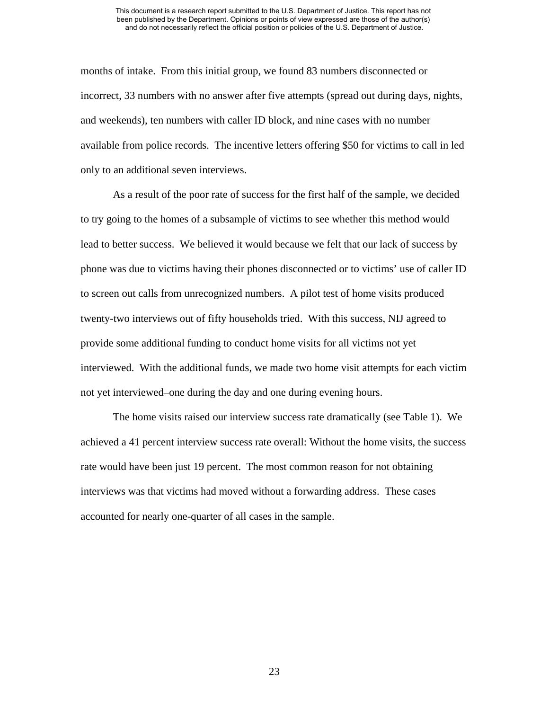months of intake. From this initial group, we found 83 numbers disconnected or incorrect, 33 numbers with no answer after five attempts (spread out during days, nights, and weekends), ten numbers with caller ID block, and nine cases with no number available from police records. The incentive letters offering \$50 for victims to call in led only to an additional seven interviews.

As a result of the poor rate of success for the first half of the sample, we decided to try going to the homes of a subsample of victims to see whether this method would lead to better success. We believed it would because we felt that our lack of success by phone was due to victims having their phones disconnected or to victims' use of caller ID to screen out calls from unrecognized numbers. A pilot test of home visits produced twenty-two interviews out of fifty households tried. With this success, NIJ agreed to provide some additional funding to conduct home visits for all victims not yet interviewed. With the additional funds, we made two home visit attempts for each victim not yet interviewed–one during the day and one during evening hours.

The home visits raised our interview success rate dramatically (see Table 1). We achieved a 41 percent interview success rate overall: Without the home visits, the success rate would have been just 19 percent. The most common reason for not obtaining interviews was that victims had moved without a forwarding address. These cases accounted for nearly one-quarter of all cases in the sample.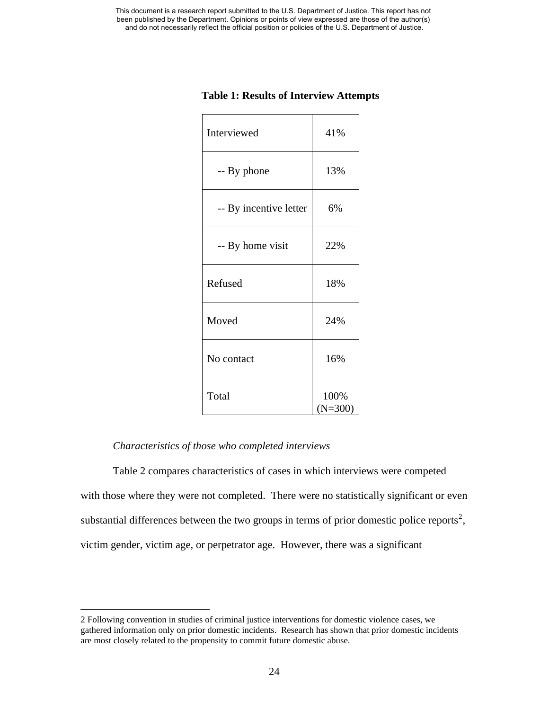| Interviewed            | 41%               |
|------------------------|-------------------|
| -- By phone            | 13%               |
| -- By incentive letter | 6%                |
| -- By home visit       | 22%               |
| Refused                | 18%               |
| Moved                  | 24%               |
| No contact             | 16%               |
| Total                  | 100%<br>$(N=300)$ |

**Table 1: Results of Interview Attempts** 

# *Characteristics of those who completed interviews*

Table 2 compares characteristics of cases in which interviews were competed with those where they were not completed. There were no statistically significant or even substantial differences between the two groups in terms of prior domestic police reports<sup>[2](#page-24-0)</sup>, victim gender, victim age, or perpetrator age. However, there was a significant

<span id="page-24-0"></span><sup>2</sup> Following convention in studies of criminal justice interventions for domestic violence cases, we gathered information only on prior domestic incidents. Research has shown that prior domestic incidents are most closely related to the propensity to commit future domestic abuse.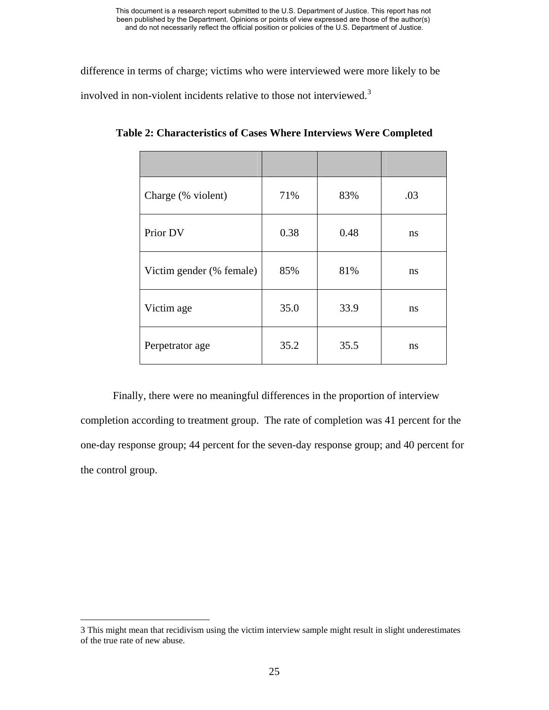difference in terms of charge; victims who were interviewed were more likely to be

involved in non-violent incidents relative to those not interviewed.[3](#page-25-0)

| Charge (% violent)       | 71%  | 83%  | .03 |
|--------------------------|------|------|-----|
| Prior DV                 | 0.38 | 0.48 | ns  |
| Victim gender (% female) | 85%  | 81%  | ns  |
| Victim age               | 35.0 | 33.9 | ns  |
| Perpetrator age          | 35.2 | 35.5 | ns  |

**Table 2: Characteristics of Cases Where Interviews Were Completed**

Finally, there were no meaningful differences in the proportion of interview completion according to treatment group. The rate of completion was 41 percent for the one-day response group; 44 percent for the seven-day response group; and 40 percent for the control group.

<span id="page-25-0"></span><sup>3</sup> This might mean that recidivism using the victim interview sample might result in slight underestimates of the true rate of new abuse.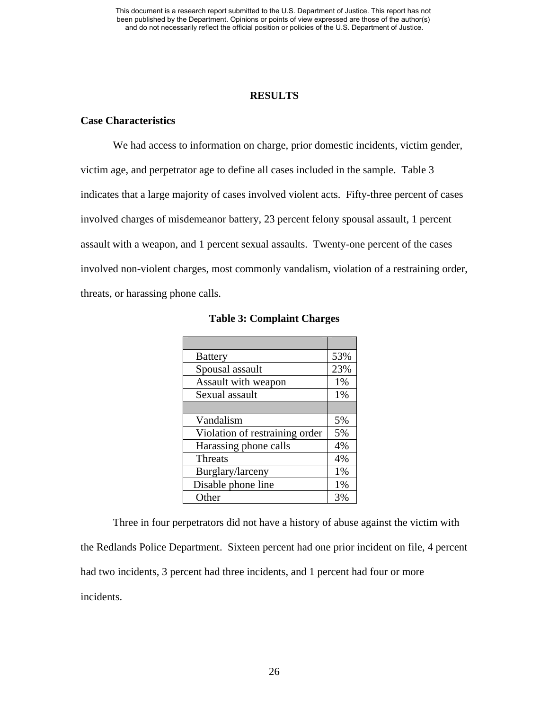### **RESULTS**

# **Case Characteristics**

We had access to information on charge, prior domestic incidents, victim gender, victim age, and perpetrator age to define all cases included in the sample. Table 3 indicates that a large majority of cases involved violent acts. Fifty-three percent of cases involved charges of misdemeanor battery, 23 percent felony spousal assault, 1 percent assault with a weapon, and 1 percent sexual assaults. Twenty-one percent of the cases involved non-violent charges, most commonly vandalism, violation of a restraining order, threats, or harassing phone calls.

| <b>Battery</b>                 | 53% |
|--------------------------------|-----|
| Spousal assault                | 23% |
| Assault with weapon            | 1%  |
| Sexual assault                 | 1%  |
|                                |     |
| Vandalism                      | 5%  |
| Violation of restraining order | 5%  |
| Harassing phone calls          | 4%  |
| <b>Threats</b>                 | 4%  |
| Burglary/larceny               | 1%  |
| Disable phone line             | 1%  |
| Other                          | 3%  |
|                                |     |

### **Table 3: Complaint Charges**

Three in four perpetrators did not have a history of abuse against the victim with the Redlands Police Department. Sixteen percent had one prior incident on file, 4 percent had two incidents, 3 percent had three incidents, and 1 percent had four or more incidents.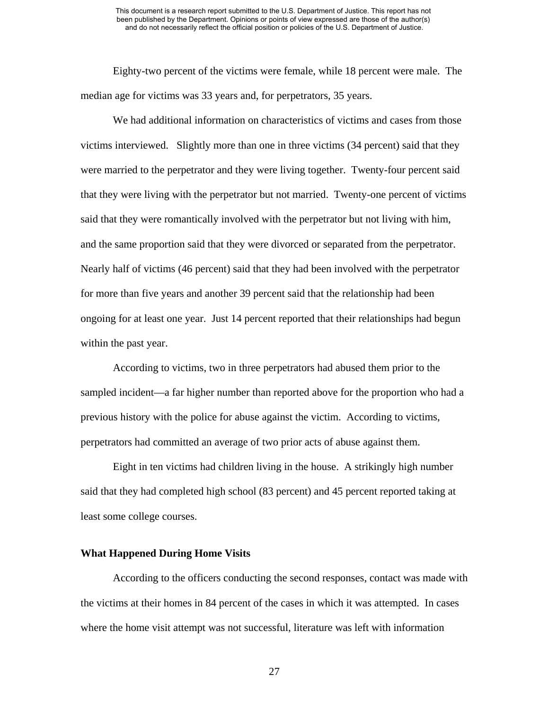Eighty-two percent of the victims were female, while 18 percent were male. The median age for victims was 33 years and, for perpetrators, 35 years.

We had additional information on characteristics of victims and cases from those victims interviewed. Slightly more than one in three victims (34 percent) said that they were married to the perpetrator and they were living together. Twenty-four percent said that they were living with the perpetrator but not married. Twenty-one percent of victims said that they were romantically involved with the perpetrator but not living with him, and the same proportion said that they were divorced or separated from the perpetrator. Nearly half of victims (46 percent) said that they had been involved with the perpetrator for more than five years and another 39 percent said that the relationship had been ongoing for at least one year. Just 14 percent reported that their relationships had begun within the past year.

According to victims, two in three perpetrators had abused them prior to the sampled incident—a far higher number than reported above for the proportion who had a previous history with the police for abuse against the victim. According to victims, perpetrators had committed an average of two prior acts of abuse against them.

Eight in ten victims had children living in the house. A strikingly high number said that they had completed high school (83 percent) and 45 percent reported taking at least some college courses.

### **What Happened During Home Visits**

According to the officers conducting the second responses, contact was made with the victims at their homes in 84 percent of the cases in which it was attempted. In cases where the home visit attempt was not successful, literature was left with information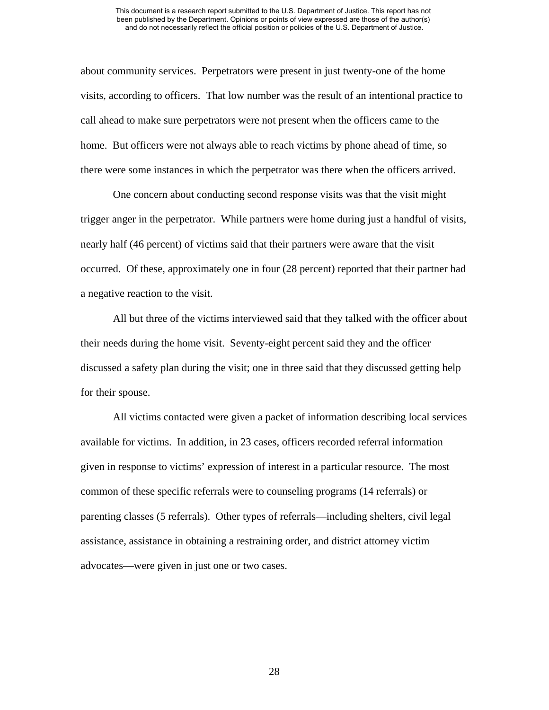about community services. Perpetrators were present in just twenty-one of the home visits, according to officers. That low number was the result of an intentional practice to call ahead to make sure perpetrators were not present when the officers came to the home. But officers were not always able to reach victims by phone ahead of time, so there were some instances in which the perpetrator was there when the officers arrived.

One concern about conducting second response visits was that the visit might trigger anger in the perpetrator. While partners were home during just a handful of visits, nearly half (46 percent) of victims said that their partners were aware that the visit occurred. Of these, approximately one in four (28 percent) reported that their partner had a negative reaction to the visit.

All but three of the victims interviewed said that they talked with the officer about their needs during the home visit. Seventy-eight percent said they and the officer discussed a safety plan during the visit; one in three said that they discussed getting help for their spouse.

All victims contacted were given a packet of information describing local services available for victims. In addition, in 23 cases, officers recorded referral information given in response to victims' expression of interest in a particular resource. The most common of these specific referrals were to counseling programs (14 referrals) or parenting classes (5 referrals). Other types of referrals—including shelters, civil legal assistance, assistance in obtaining a restraining order, and district attorney victim advocates—were given in just one or two cases.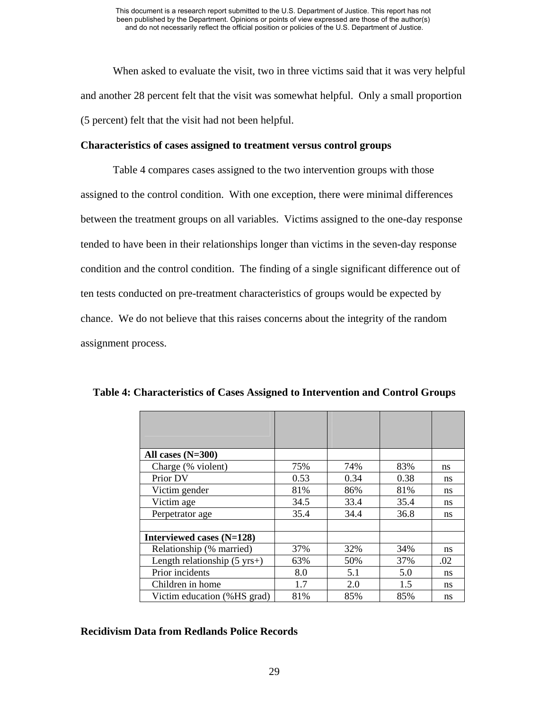When asked to evaluate the visit, two in three victims said that it was very helpful and another 28 percent felt that the visit was somewhat helpful. Only a small proportion (5 percent) felt that the visit had not been helpful.

# **Characteristics of cases assigned to treatment versus control groups**

Table 4 compares cases assigned to the two intervention groups with those assigned to the control condition. With one exception, there were minimal differences between the treatment groups on all variables. Victims assigned to the one-day response tended to have been in their relationships longer than victims in the seven-day response condition and the control condition. The finding of a single significant difference out of ten tests conducted on pre-treatment characteristics of groups would be expected by chance. We do not believe that this raises concerns about the integrity of the random assignment process.

| All cases $(N=300)$                    |      |      |      |     |
|----------------------------------------|------|------|------|-----|
| Charge (% violent)                     | 75%  | 74%  | 83%  | ns  |
| Prior DV                               | 0.53 | 0.34 | 0.38 | ns  |
| Victim gender                          | 81%  | 86%  | 81%  | ns  |
| Victim age                             | 34.5 | 33.4 | 35.4 | ns  |
| Perpetrator age                        | 35.4 | 34.4 | 36.8 | ns  |
|                                        |      |      |      |     |
| Interviewed cases $(N=128)$            |      |      |      |     |
| Relationship (% married)               | 37%  | 32%  | 34%  | ns  |
| Length relationship $(5 \text{ yrs+})$ | 63%  | 50%  | 37%  | .02 |
| Prior incidents                        | 8.0  | 5.1  | 5.0  | ns  |
| Children in home                       | 1.7  | 2.0  | 1.5  | ns  |
| Victim education (%HS grad)            | 81%  | 85%  | 85%  | ns  |

**Table 4: Characteristics of Cases Assigned to Intervention and Control Groups**

# **Recidivism Data from Redlands Police Records**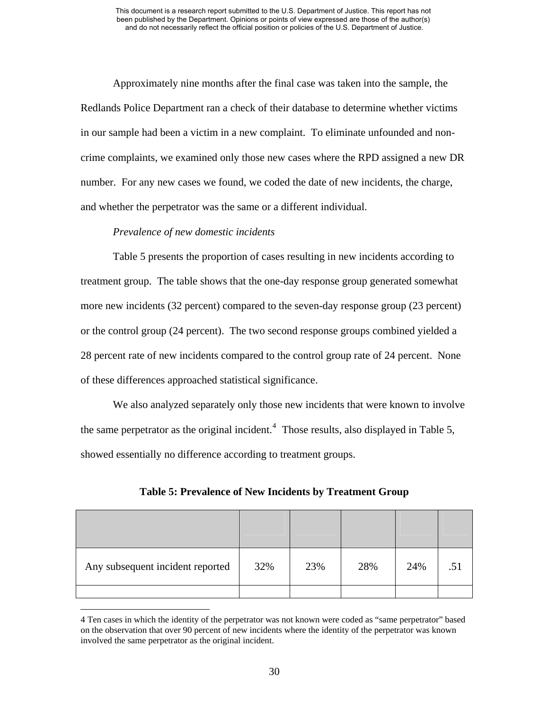Approximately nine months after the final case was taken into the sample, the Redlands Police Department ran a check of their database to determine whether victims in our sample had been a victim in a new complaint. To eliminate unfounded and noncrime complaints, we examined only those new cases where the RPD assigned a new DR number. For any new cases we found, we coded the date of new incidents, the charge, and whether the perpetrator was the same or a different individual.

# *Prevalence of new domestic incidents*

Table 5 presents the proportion of cases resulting in new incidents according to treatment group. The table shows that the one-day response group generated somewhat more new incidents (32 percent) compared to the seven-day response group (23 percent) or the control group (24 percent). The two second response groups combined yielded a 28 percent rate of new incidents compared to the control group rate of 24 percent. None of these differences approached statistical significance.

We also analyzed separately only those new incidents that were known to involve the same perpetrator as the original incident.<sup>[4](#page-30-0)</sup> Those results, also displayed in Table 5, showed essentially no difference according to treatment groups.

| Any subsequent incident reported | 32% | 23% | 28% | 24% | .51 |
|----------------------------------|-----|-----|-----|-----|-----|
|                                  |     |     |     |     |     |

**Table 5: Prevalence of New Incidents by Treatment Group** 

<span id="page-30-0"></span><sup>4</sup> Ten cases in which the identity of the perpetrator was not known were coded as "same perpetrator" based on the observation that over 90 percent of new incidents where the identity of the perpetrator was known involved the same perpetrator as the original incident.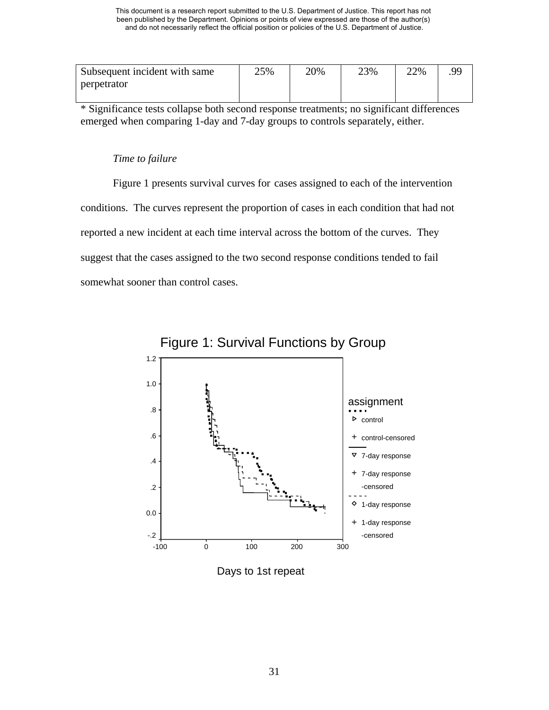| Subsequent incident with same | 25% | 20% | 23% | 22% | .99 |
|-------------------------------|-----|-----|-----|-----|-----|
| perpetrator                   |     |     |     |     |     |
|                               |     |     |     |     |     |

\* Significance tests collapse both second response treatments; no significant differences emerged when comparing 1-day and 7-day groups to controls separately, either.

## *Time to failure*

Figure 1 presents survival curves for cases assigned to each of the intervention conditions. The curves represent the proportion of cases in each condition that had not reported a new incident at each time interval across the bottom of the curves. They suggest that the cases assigned to the two second response conditions tended to fail somewhat sooner than control cases.



Days to 1st repeat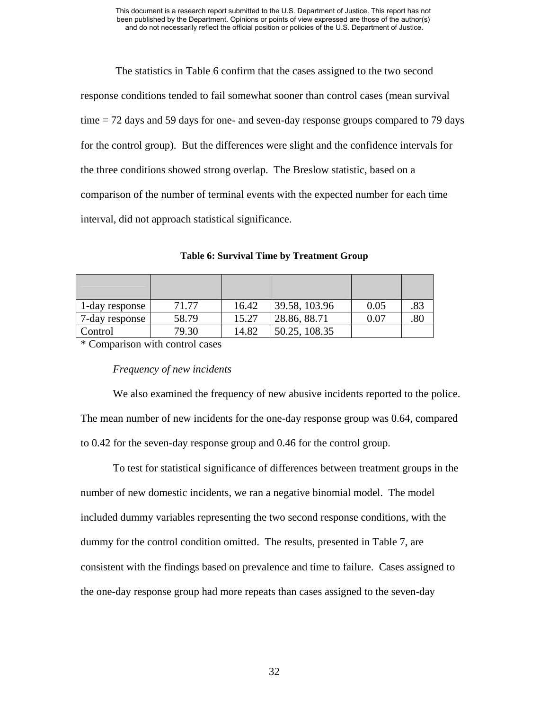The statistics in Table 6 confirm that the cases assigned to the two second response conditions tended to fail somewhat sooner than control cases (mean survival time = 72 days and 59 days for one- and seven-day response groups compared to 79 days for the control group). But the differences were slight and the confidence intervals for the three conditions showed strong overlap. The Breslow statistic, based on a comparison of the number of terminal events with the expected number for each time interval, did not approach statistical significance.

| 1-day response | 71.77 | 16.42 | 39.58, 103.96 | 0.05 |     |
|----------------|-------|-------|---------------|------|-----|
| 7-day response | 58.79 | 15.27 | 28.86, 88.71  | 0.07 | .80 |
| Control        | 79.30 | 14.82 | 50.25, 108.35 |      |     |

**Table 6: Survival Time by Treatment Group**

\* Comparison with control cases

## *Frequency of new incidents*

We also examined the frequency of new abusive incidents reported to the police. The mean number of new incidents for the one-day response group was 0.64, compared to 0.42 for the seven-day response group and 0.46 for the control group.

To test for statistical significance of differences between treatment groups in the number of new domestic incidents, we ran a negative binomial model. The model included dummy variables representing the two second response conditions, with the dummy for the control condition omitted. The results, presented in Table 7, are consistent with the findings based on prevalence and time to failure. Cases assigned to the one-day response group had more repeats than cases assigned to the seven-day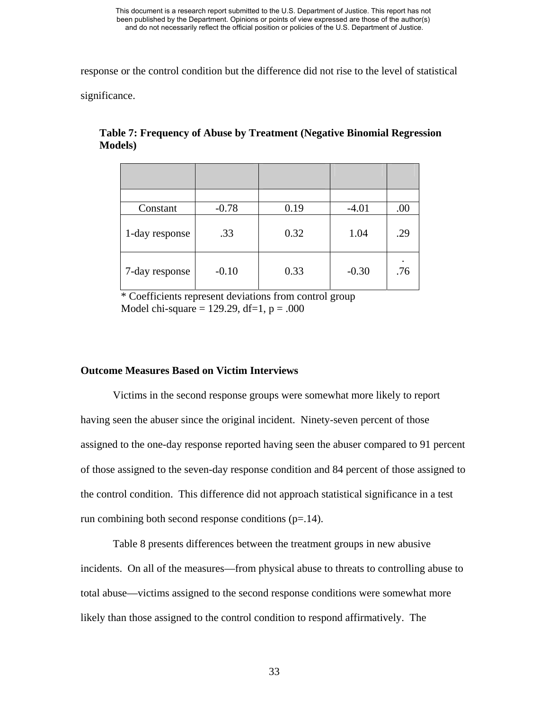response or the control condition but the difference did not rise to the level of statistical

significance.

| Constant       | $-0.78$ | 0.19 | $-4.01$ | .00 |
|----------------|---------|------|---------|-----|
| 1-day response | .33     | 0.32 | 1.04    | .29 |
| 7-day response | $-0.10$ | 0.33 | $-0.30$ | .76 |

**Table 7: Frequency of Abuse by Treatment (Negative Binomial Regression Models)** 

 \* Coefficients represent deviations from control group Model chi-square =  $129.29$ , df=1, p = .000

# **Outcome Measures Based on Victim Interviews**

Victims in the second response groups were somewhat more likely to report having seen the abuser since the original incident. Ninety-seven percent of those assigned to the one-day response reported having seen the abuser compared to 91 percent of those assigned to the seven-day response condition and 84 percent of those assigned to the control condition. This difference did not approach statistical significance in a test run combining both second response conditions  $(p=14)$ .

Table 8 presents differences between the treatment groups in new abusive incidents. On all of the measures—from physical abuse to threats to controlling abuse to total abuse—victims assigned to the second response conditions were somewhat more likely than those assigned to the control condition to respond affirmatively. The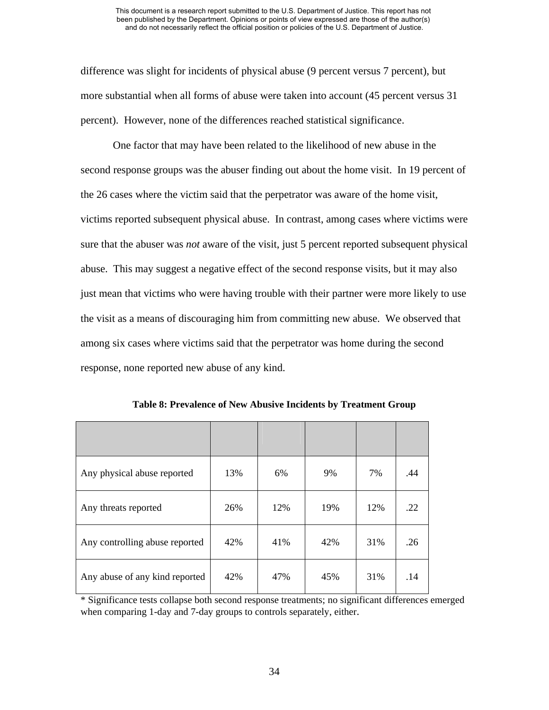difference was slight for incidents of physical abuse (9 percent versus 7 percent), but more substantial when all forms of abuse were taken into account (45 percent versus 31 percent). However, none of the differences reached statistical significance.

One factor that may have been related to the likelihood of new abuse in the second response groups was the abuser finding out about the home visit. In 19 percent of the 26 cases where the victim said that the perpetrator was aware of the home visit, victims reported subsequent physical abuse. In contrast, among cases where victims were sure that the abuser was *not* aware of the visit, just 5 percent reported subsequent physical abuse. This may suggest a negative effect of the second response visits, but it may also just mean that victims who were having trouble with their partner were more likely to use the visit as a means of discouraging him from committing new abuse. We observed that among six cases where victims said that the perpetrator was home during the second response, none reported new abuse of any kind.

| Any physical abuse reported    | 13% | 6%  | 9%  | 7%  | .44 |
|--------------------------------|-----|-----|-----|-----|-----|
| Any threats reported           | 26% | 12% | 19% | 12% | .22 |
| Any controlling abuse reported | 42% | 41% | 42% | 31% | .26 |
| Any abuse of any kind reported | 42% | 47% | 45% | 31% | .14 |

**Table 8: Prevalence of New Abusive Incidents by Treatment Group** 

\* Significance tests collapse both second response treatments; no significant differences emerged when comparing 1-day and 7-day groups to controls separately, either.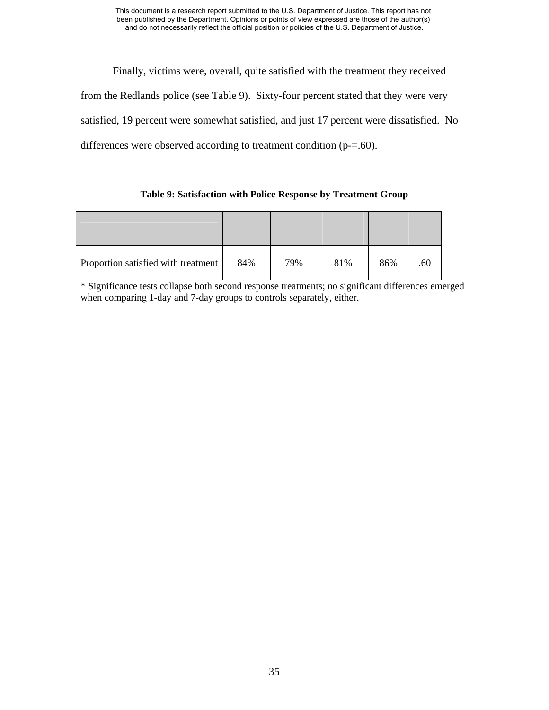Finally, victims were, overall, quite satisfied with the treatment they received from the Redlands police (see Table 9). Sixty-four percent stated that they were very satisfied, 19 percent were somewhat satisfied, and just 17 percent were dissatisfied. No differences were observed according to treatment condition (p-=.60).

| Table 9: Satisfaction with Police Response by Treatment Group |  |  |  |  |
|---------------------------------------------------------------|--|--|--|--|
|---------------------------------------------------------------|--|--|--|--|

| Proportion satisfied with treatment | 84% | 79% | 81% | 86% | .60 |
|-------------------------------------|-----|-----|-----|-----|-----|

\* Significance tests collapse both second response treatments; no significant differences emerged when comparing 1-day and 7-day groups to controls separately, either.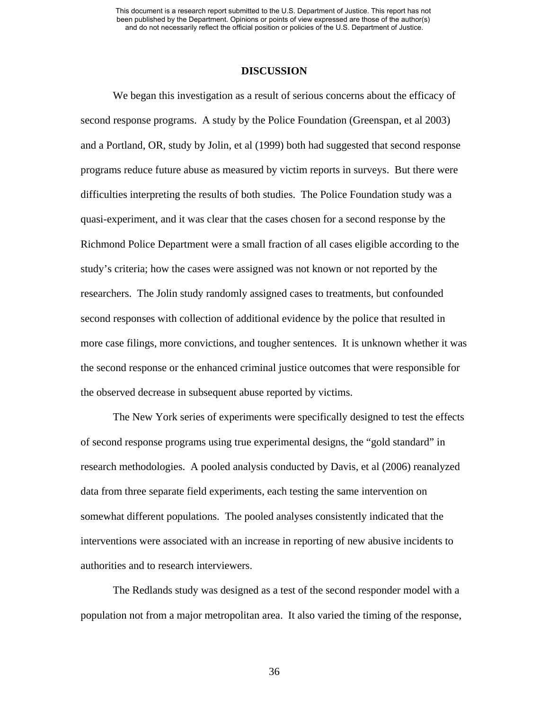### **DISCUSSION**

We began this investigation as a result of serious concerns about the efficacy of second response programs. A study by the Police Foundation (Greenspan, et al 2003) and a Portland, OR, study by Jolin, et al (1999) both had suggested that second response programs reduce future abuse as measured by victim reports in surveys. But there were difficulties interpreting the results of both studies. The Police Foundation study was a quasi-experiment, and it was clear that the cases chosen for a second response by the Richmond Police Department were a small fraction of all cases eligible according to the study's criteria; how the cases were assigned was not known or not reported by the researchers. The Jolin study randomly assigned cases to treatments, but confounded second responses with collection of additional evidence by the police that resulted in more case filings, more convictions, and tougher sentences. It is unknown whether it was the second response or the enhanced criminal justice outcomes that were responsible for the observed decrease in subsequent abuse reported by victims.

The New York series of experiments were specifically designed to test the effects of second response programs using true experimental designs, the "gold standard" in research methodologies. A pooled analysis conducted by Davis, et al (2006) reanalyzed data from three separate field experiments, each testing the same intervention on somewhat different populations. The pooled analyses consistently indicated that the interventions were associated with an increase in reporting of new abusive incidents to authorities and to research interviewers.

The Redlands study was designed as a test of the second responder model with a population not from a major metropolitan area. It also varied the timing of the response,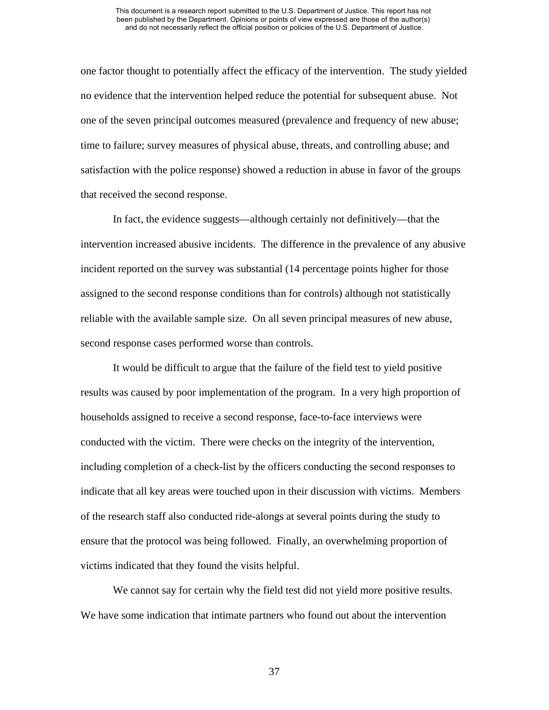one factor thought to potentially affect the efficacy of the intervention. The study yielded no evidence that the intervention helped reduce the potential for subsequent abuse. Not one of the seven principal outcomes measured (prevalence and frequency of new abuse; time to failure; survey measures of physical abuse, threats, and controlling abuse; and satisfaction with the police response) showed a reduction in abuse in favor of the groups that received the second response.

In fact, the evidence suggests—although certainly not definitively—that the intervention increased abusive incidents. The difference in the prevalence of any abusive incident reported on the survey was substantial (14 percentage points higher for those assigned to the second response conditions than for controls) although not statistically reliable with the available sample size. On all seven principal measures of new abuse, second response cases performed worse than controls.

It would be difficult to argue that the failure of the field test to yield positive results was caused by poor implementation of the program. In a very high proportion of households assigned to receive a second response, face-to-face interviews were conducted with the victim. There were checks on the integrity of the intervention, including completion of a check-list by the officers conducting the second responses to indicate that all key areas were touched upon in their discussion with victims. Members of the research staff also conducted ride-alongs at several points during the study to ensure that the protocol was being followed. Finally, an overwhelming proportion of victims indicated that they found the visits helpful.

We cannot say for certain why the field test did not yield more positive results. We have some indication that intimate partners who found out about the intervention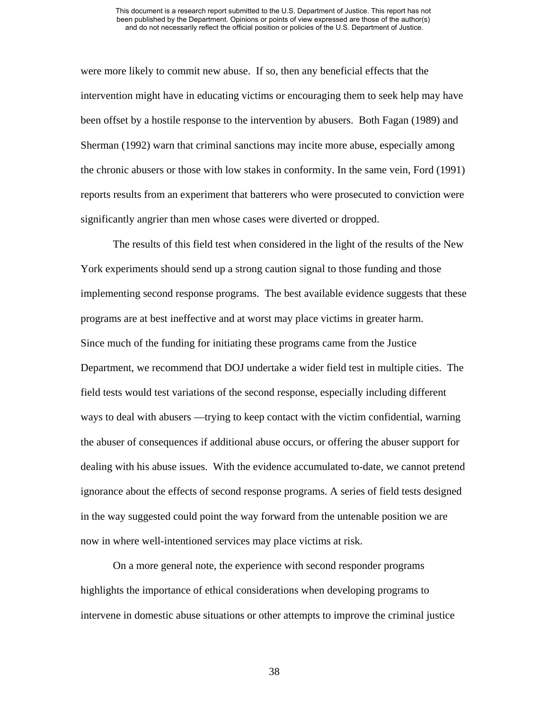were more likely to commit new abuse. If so, then any beneficial effects that the intervention might have in educating victims or encouraging them to seek help may have been offset by a hostile response to the intervention by abusers. Both Fagan (1989) and Sherman (1992) warn that criminal sanctions may incite more abuse, especially among the chronic abusers or those with low stakes in conformity. In the same vein, Ford (1991) reports results from an experiment that batterers who were prosecuted to conviction were significantly angrier than men whose cases were diverted or dropped.

The results of this field test when considered in the light of the results of the New York experiments should send up a strong caution signal to those funding and those implementing second response programs. The best available evidence suggests that these programs are at best ineffective and at worst may place victims in greater harm. Since much of the funding for initiating these programs came from the Justice Department, we recommend that DOJ undertake a wider field test in multiple cities. The field tests would test variations of the second response, especially including different ways to deal with abusers —trying to keep contact with the victim confidential, warning the abuser of consequences if additional abuse occurs, or offering the abuser support for dealing with his abuse issues. With the evidence accumulated to-date, we cannot pretend ignorance about the effects of second response programs. A series of field tests designed in the way suggested could point the way forward from the untenable position we are now in where well-intentioned services may place victims at risk.

On a more general note, the experience with second responder programs highlights the importance of ethical considerations when developing programs to intervene in domestic abuse situations or other attempts to improve the criminal justice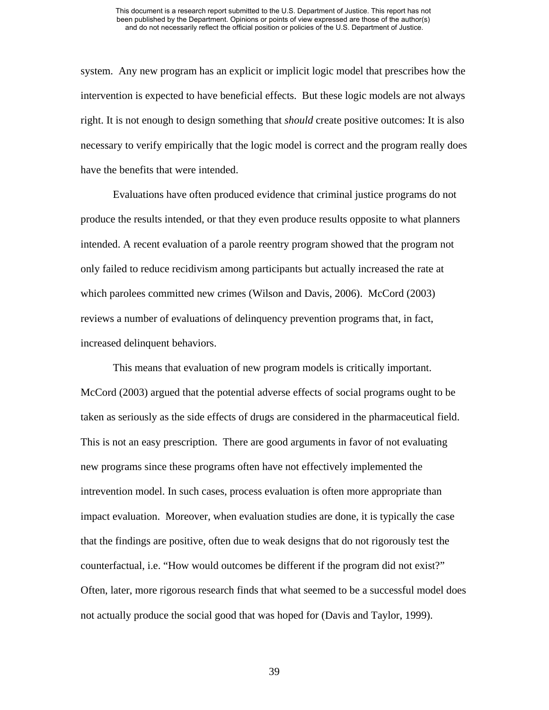system. Any new program has an explicit or implicit logic model that prescribes how the intervention is expected to have beneficial effects. But these logic models are not always right. It is not enough to design something that *should* create positive outcomes: It is also necessary to verify empirically that the logic model is correct and the program really does have the benefits that were intended.

Evaluations have often produced evidence that criminal justice programs do not produce the results intended, or that they even produce results opposite to what planners intended. A recent evaluation of a parole reentry program showed that the program not only failed to reduce recidivism among participants but actually increased the rate at which parolees committed new crimes (Wilson and Davis, 2006). McCord (2003) reviews a number of evaluations of delinquency prevention programs that, in fact, increased delinquent behaviors.

This means that evaluation of new program models is critically important. McCord (2003) argued that the potential adverse effects of social programs ought to be taken as seriously as the side effects of drugs are considered in the pharmaceutical field. This is not an easy prescription. There are good arguments in favor of not evaluating new programs since these programs often have not effectively implemented the intrevention model. In such cases, process evaluation is often more appropriate than impact evaluation. Moreover, when evaluation studies are done, it is typically the case that the findings are positive, often due to weak designs that do not rigorously test the counterfactual, i.e. "How would outcomes be different if the program did not exist?" Often, later, more rigorous research finds that what seemed to be a successful model does not actually produce the social good that was hoped for (Davis and Taylor, 1999).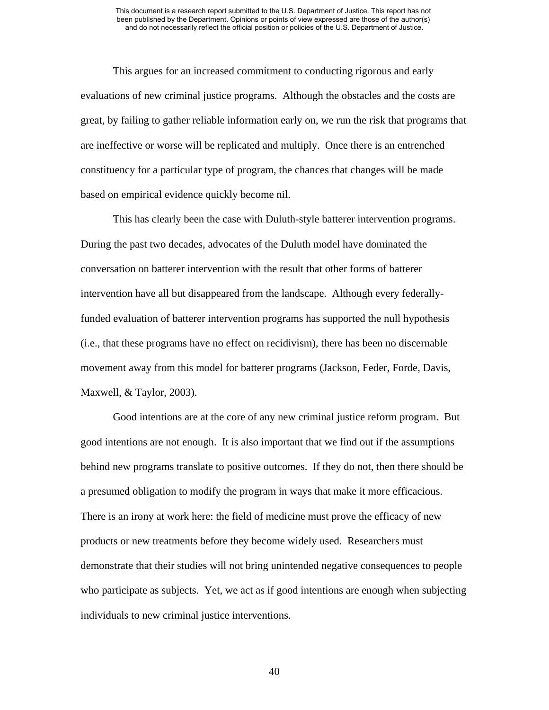This argues for an increased commitment to conducting rigorous and early evaluations of new criminal justice programs. Although the obstacles and the costs are great, by failing to gather reliable information early on, we run the risk that programs that are ineffective or worse will be replicated and multiply. Once there is an entrenched constituency for a particular type of program, the chances that changes will be made based on empirical evidence quickly become nil.

This has clearly been the case with Duluth-style batterer intervention programs. During the past two decades, advocates of the Duluth model have dominated the conversation on batterer intervention with the result that other forms of batterer intervention have all but disappeared from the landscape. Although every federallyfunded evaluation of batterer intervention programs has supported the null hypothesis (i.e., that these programs have no effect on recidivism), there has been no discernable movement away from this model for batterer programs (Jackson, Feder, Forde, Davis, Maxwell, & Taylor, 2003).

Good intentions are at the core of any new criminal justice reform program. But good intentions are not enough. It is also important that we find out if the assumptions behind new programs translate to positive outcomes. If they do not, then there should be a presumed obligation to modify the program in ways that make it more efficacious. There is an irony at work here: the field of medicine must prove the efficacy of new products or new treatments before they become widely used. Researchers must demonstrate that their studies will not bring unintended negative consequences to people who participate as subjects. Yet, we act as if good intentions are enough when subjecting individuals to new criminal justice interventions.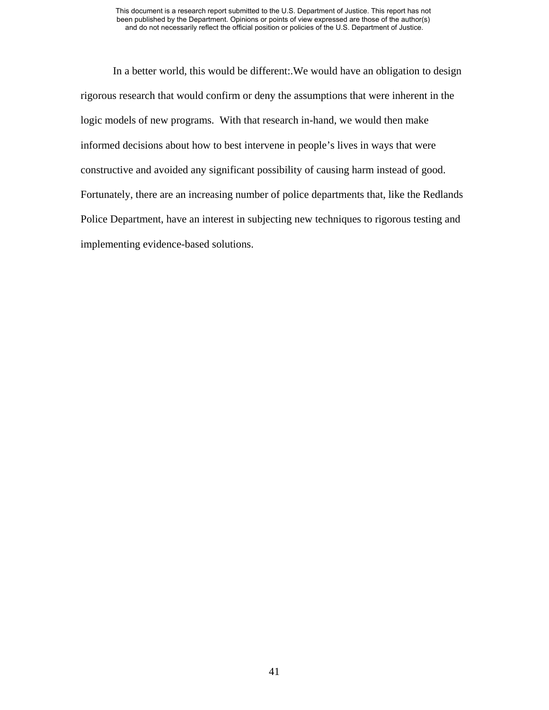In a better world, this would be different:.We would have an obligation to design rigorous research that would confirm or deny the assumptions that were inherent in the logic models of new programs. With that research in-hand, we would then make informed decisions about how to best intervene in people's lives in ways that were constructive and avoided any significant possibility of causing harm instead of good. Fortunately, there are an increasing number of police departments that, like the Redlands Police Department, have an interest in subjecting new techniques to rigorous testing and implementing evidence-based solutions.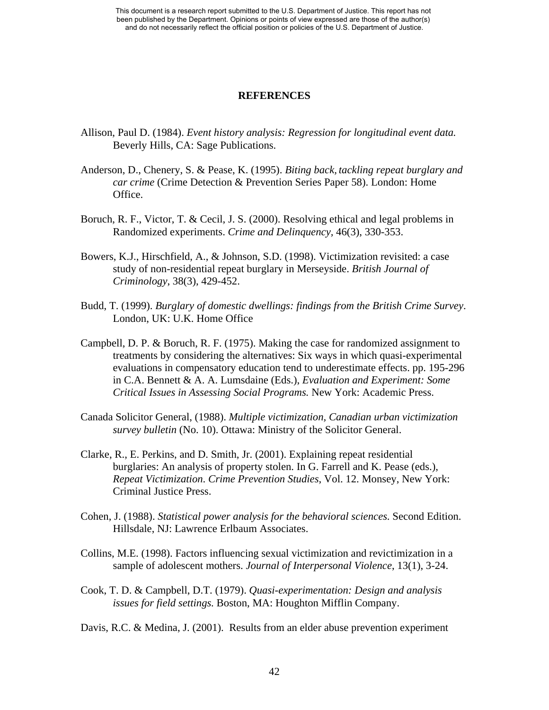## **REFERENCES**

- Allison, Paul D. (1984). *Event history analysis: Regression for longitudinal event data.*  Beverly Hills, CA: Sage Publications.
- Anderson, D., Chenery, S. & Pease, K. (1995). *Biting back, tackling repeat burglary and car crime* (Crime Detection & Prevention Series Paper 58). London: Home Office.
- Boruch, R. F., Victor, T. & Cecil, J. S. (2000). Resolving ethical and legal problems in Randomized experiments. *Crime and Delinquency,* 46(3), 330-353.
- Bowers, K.J., Hirschfield, A., & Johnson, S.D. (1998). Victimization revisited: a case study of non-residential repeat burglary in Merseyside. *British Journal of Criminology*, 38(3), 429-452.
- Budd, T. (1999). *Burglary of domestic dwellings: findings from the British Crime Survey*. London, UK: U.K. Home Office
- Campbell, D. P. & Boruch, R. F. (1975). Making the case for randomized assignment to treatments by considering the alternatives: Six ways in which quasi-experimental evaluations in compensatory education tend to underestimate effects. pp. 195-296 in C.A. Bennett & A. A. Lumsdaine (Eds.), *Evaluation and Experiment: Some Critical Issues in Assessing Social Programs.* New York: Academic Press.
- Canada Solicitor General, (1988). *Multiple victimization, Canadian urban victimization survey bulletin* (No. 10). Ottawa: Ministry of the Solicitor General.
- Clarke, R., E. Perkins, and D. Smith, Jr. (2001). Explaining repeat residential burglaries: An analysis of property stolen. In G. Farrell and K. Pease (eds.), *Repeat Victimization*. *Crime Prevention Studies*, Vol. 12. Monsey, New York: Criminal Justice Press.
- Cohen, J. (1988). *Statistical power analysis for the behavioral sciences.* Second Edition. Hillsdale, NJ: Lawrence Erlbaum Associates.
- Collins, M.E. (1998). Factors influencing sexual victimization and revictimization in a sample of adolescent mothers. *Journal of Interpersonal Violence*, 13(1), 3-24.
- Cook, T. D. & Campbell, D.T. (1979). *Quasi-experimentation: Design and analysis issues for field settings.* Boston, MA: Houghton Mifflin Company.
- Davis, R.C. & Medina, J. (2001). Results from an elder abuse prevention experiment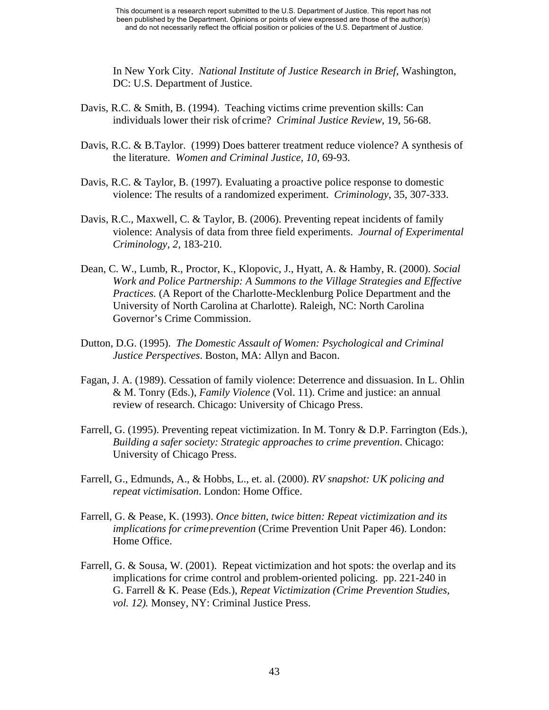In New York City. *National Institute of Justice Research in Brief*, Washington, DC: U.S. Department of Justice.

- Davis, R.C. & Smith, B. (1994). Teaching victims crime prevention skills: Can individuals lower their risk of crime? *Criminal Justice Review*, 19, 56-68.
- Davis, R.C. & B.Taylor. (1999) Does batterer treatment reduce violence? A synthesis of the literature. *Women and Criminal Justice, 10*, 69-93.
- Davis, R.C. & Taylor, B. (1997). Evaluating a proactive police response to domestic violence: The results of a randomized experiment. *Criminology*, 35, 307-333.
- Davis, R.C., Maxwell, C. & Taylor, B. (2006). Preventing repeat incidents of family violence: Analysis of data from three field experiments. *Journal of Experimental Criminology, 2,* 183-210.
- Dean, C. W., Lumb, R., Proctor, K., Klopovic, J., Hyatt, A. & Hamby, R. (2000). *Social Work and Police Partnership: A Summons to the Village Strategies and Effective Practices.* (A Report of the Charlotte-Mecklenburg Police Department and the University of North Carolina at Charlotte). Raleigh, NC: North Carolina Governor's Crime Commission.
- Dutton, D.G. (1995). *The Domestic Assault of Women: Psychological and Criminal Justice Perspectives*. Boston, MA: Allyn and Bacon.
- Fagan, J. A. (1989). Cessation of family violence: Deterrence and dissuasion. In L. Ohlin & M. Tonry (Eds.), *Family Violence* (Vol. 11). Crime and justice: an annual review of research. Chicago: University of Chicago Press.
- Farrell, G. (1995). Preventing repeat victimization. In M. Tonry & D.P. Farrington (Eds.), *Building a safer society: Strategic approaches to crime prevention*. Chicago: University of Chicago Press.
- Farrell, G., Edmunds, A., & Hobbs, L., et. al. (2000). *RV snapshot: UK policing and repeat victimisation*. London: Home Office.
- Farrell, G. & Pease, K. (1993). *Once bitten, twice bitten: Repeat victimization and its implications for crime prevention* (Crime Prevention Unit Paper 46). London: Home Office.
- Farrell, G. & Sousa, W. (2001). Repeat victimization and hot spots: the overlap and its implications for crime control and problem-oriented policing. pp. 221-240 in G. Farrell & K. Pease (Eds.), *Repeat Victimization (Crime Prevention Studies, vol. 12).* Monsey, NY: Criminal Justice Press.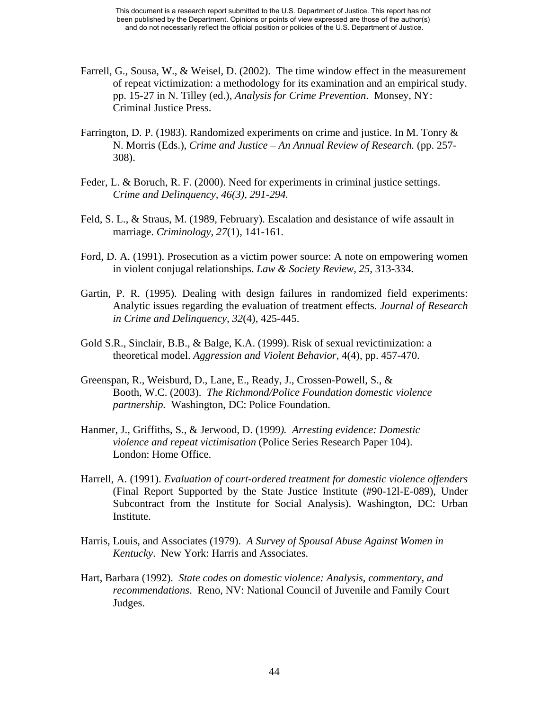- Farrell, G., Sousa, W., & Weisel, D. (2002). The time window effect in the measurement of repeat victimization: a methodology for its examination and an empirical study. pp. 15-27 in N. Tilley (ed.), *Analysis for Crime Prevention*. Monsey, NY: Criminal Justice Press.
- Farrington, D. P. (1983). Randomized experiments on crime and justice. In M. Tonry & N. Morris (Eds.), *Crime and Justice – An Annual Review of Research.* (pp. 257- 308).
- Feder, L. & Boruch, R. F. (2000). Need for experiments in criminal justice settings. *Crime and Delinquency, 46(3), 291-294.*
- Feld, S. L., & Straus, M. (1989, February). Escalation and desistance of wife assault in marriage. *Criminology, 27*(1), 141-161.
- Ford, D. A. (1991). Prosecution as a victim power source: A note on empowering women in violent conjugal relationships. *Law & Society Review, 25,* 313-334.
- Gartin, P. R. (1995). Dealing with design failures in randomized field experiments: Analytic issues regarding the evaluation of treatment effects. *Journal of Research in Crime and Delinquency, 32*(4), 425-445.
- Gold S.R., Sinclair, B.B., & Balge, K.A. (1999). Risk of sexual revictimization: a theoretical model. *Aggression and Violent Behavior*, 4(4), pp. 457-470.
- Greenspan, R., Weisburd, D., Lane, E., Ready, J., Crossen-Powell, S., & Booth, W.C. (2003). *The Richmond/Police Foundation domestic violence partnership.* Washington, DC: Police Foundation.
- Hanmer, J., Griffiths, S., & Jerwood, D. (1999*). Arresting evidence: Domestic violence and repeat victimisation* (Police Series Research Paper 104). London: Home Office.
- Harrell, A. (1991). *Evaluation of court-ordered treatment for domestic violence offenders* (Final Report Supported by the State Justice Institute (#90-12l-E-089), Under Subcontract from the Institute for Social Analysis). Washington, DC: Urban Institute.
- Harris, Louis, and Associates (1979). *A Survey of Spousal Abuse Against Women in Kentucky*. New York: Harris and Associates.
- Hart, Barbara (1992). *State codes on domestic violence: Analysis, commentary, and recommendations*. Reno, NV: National Council of Juvenile and Family Court Judges.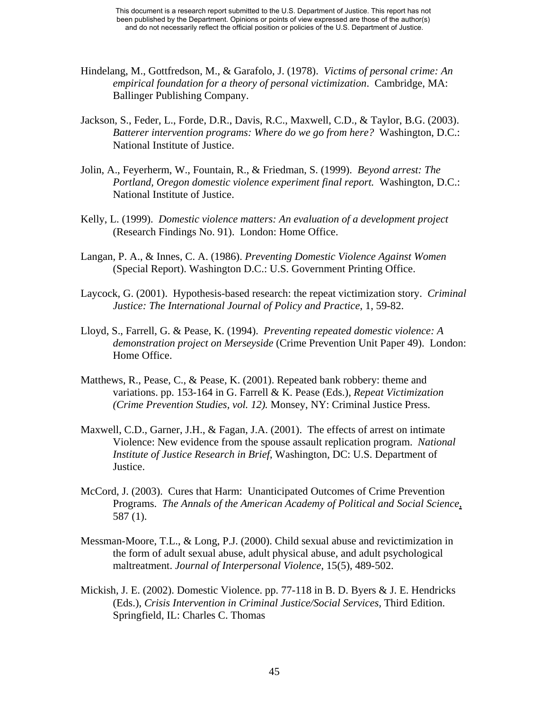- Hindelang, M., Gottfredson, M., & Garafolo, J. (1978). *Victims of personal crime: An empirical foundation for a theory of personal victimization*. Cambridge, MA: Ballinger Publishing Company.
- Jackson, S., Feder, L., Forde, D.R., Davis, R.C., Maxwell, C.D., & Taylor, B.G. (2003). *Batterer intervention programs: Where do we go from here?* Washington, D.C.: National Institute of Justice.
- Jolin, A., Feyerherm, W., Fountain, R., & Friedman, S. (1999). *Beyond arrest: The Portland, Oregon domestic violence experiment final report.* Washington, D.C.: National Institute of Justice.
- Kelly, L. (1999). *Domestic violence matters: An evaluation of a development project*  (Research Findings No. 91). London: Home Office.
- Langan, P. A., & Innes, C. A. (1986). *Preventing Domestic Violence Against Women* (Special Report). Washington D.C.: U.S. Government Printing Office.
- Laycock, G. (2001). Hypothesis-based research: the repeat victimization story. *Criminal Justice: The International Journal of Policy and Practice*, 1, 59-82.
- Lloyd, S., Farrell, G. & Pease, K. (1994). *Preventing repeated domestic violence: A demonstration project on Merseyside* (Crime Prevention Unit Paper 49). London: Home Office.
- Matthews, R., Pease, C., & Pease, K. (2001). Repeated bank robbery: theme and variations. pp. 153-164 in G. Farrell & K. Pease (Eds.), *Repeat Victimization (Crime Prevention Studies, vol. 12).* Monsey, NY: Criminal Justice Press.
- Maxwell, C.D., Garner, J.H., & Fagan, J.A. (2001). The effects of arrest on intimate Violence: New evidence from the spouse assault replication program. *National Institute of Justice Research in Brief*, Washington, DC: U.S. Department of Justice.
- McCord, J. (2003). Cures that Harm: Unanticipated Outcomes of Crime Prevention Programs. *The Annals of the American Academy of Political and Social Science*, 587 (1).
- Messman-Moore, T.L., & Long, P.J. (2000). Child sexual abuse and revictimization in the form of adult sexual abuse, adult physical abuse, and adult psychological maltreatment. *Journal of Interpersonal Violence*, 15(5), 489-502.
- Mickish, J. E. (2002). Domestic Violence. pp. 77-118 in B. D. Byers & J. E. Hendricks (Eds.), *Crisis Intervention in Criminal Justice/Social Services,* Third Edition. Springfield, IL: Charles C. Thomas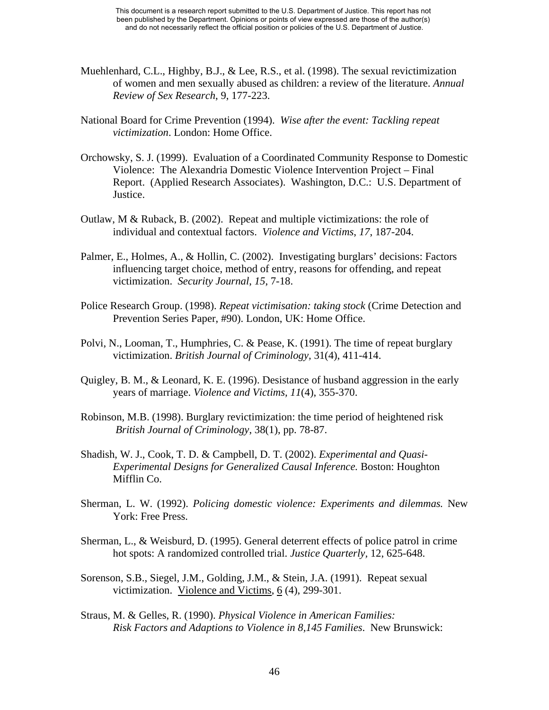- Muehlenhard, C.L., Highby, B.J., & Lee, R.S., et al. (1998). The sexual revictimization of women and men sexually abused as children: a review of the literature. *Annual Review of Sex Research*, 9, 177-223.
- National Board for Crime Prevention (1994). *Wise after the event: Tackling repeat victimization*. London: Home Office.
- Orchowsky, S. J. (1999). Evaluation of a Coordinated Community Response to Domestic Violence: The Alexandria Domestic Violence Intervention Project – Final Report. (Applied Research Associates). Washington, D.C.: U.S. Department of Justice.
- Outlaw, M & Ruback, B. (2002). Repeat and multiple victimizations: the role of individual and contextual factors. *Violence and Victims*, *17*, 187-204.
- Palmer, E., Holmes, A., & Hollin, C. (2002). Investigating burglars' decisions: Factors influencing target choice, method of entry, reasons for offending, and repeat victimization. *Security Journal*, *15*, 7-18.
- Police Research Group. (1998). *Repeat victimisation: taking stock* (Crime Detection and Prevention Series Paper, #90). London, UK: Home Office.
- Polvi, N., Looman, T., Humphries, C. & Pease, K. (1991). The time of repeat burglary victimization. *British Journal of Criminology,* 31(4), 411-414.
- Quigley, B. M., & Leonard, K. E. (1996). Desistance of husband aggression in the early years of marriage. *Violence and Victims, 11*(4), 355-370.
- Robinson, M.B. (1998). Burglary revictimization: the time period of heightened risk *British Journal of Criminology*, 38(1), pp. 78-87.
- Shadish, W. J., Cook, T. D. & Campbell, D. T. (2002). *Experimental and Quasi-Experimental Designs for Generalized Causal Inference.* Boston: Houghton Mifflin Co.
- Sherman, L. W. (1992). *Policing domestic violence: Experiments and dilemmas.* New York: Free Press.
- Sherman, L., & Weisburd, D. (1995). General deterrent effects of police patrol in crime hot spots: A randomized controlled trial. *Justice Quarterly,* 12, 625-648.
- Sorenson, S.B., Siegel, J.M., Golding, J.M., & Stein, J.A. (1991). Repeat sexual victimization. Violence and Victims, 6 (4), 299-301.
- Straus, M. & Gelles, R. (1990). *Physical Violence in American Families: Risk Factors and Adaptions to Violence in 8,145 Families*. New Brunswick: